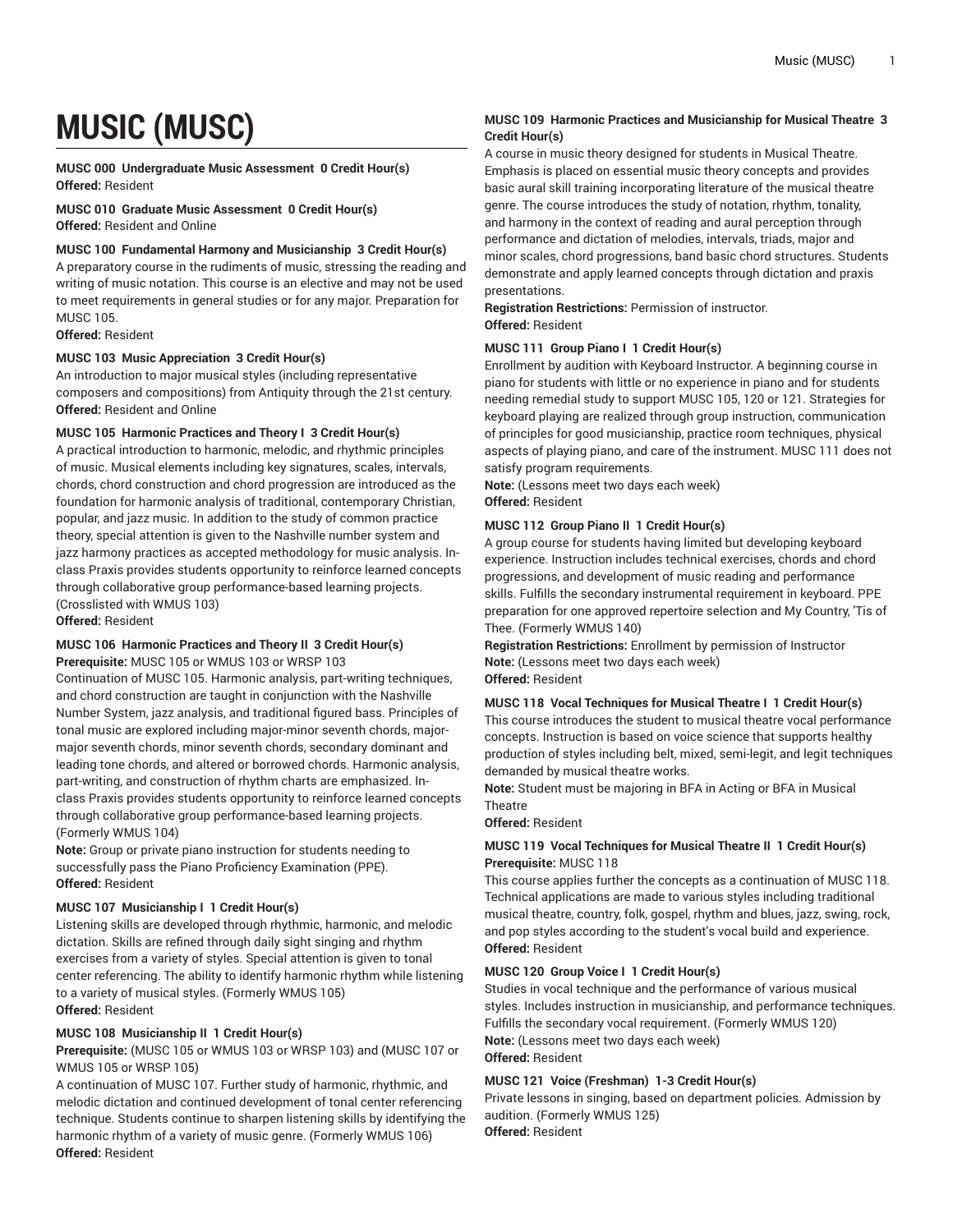# **MUSIC (MUSC)**

**MUSC 000 Undergraduate Music Assessment 0 Credit Hour(s) Offered:** Resident

**MUSC 010 Graduate Music Assessment 0 Credit Hour(s) Offered:** Resident and Online

#### **MUSC 100 Fundamental Harmony and Musicianship 3 Credit Hour(s)**

A preparatory course in the rudiments of music, stressing the reading and writing of music notation. This course is an elective and may not be used to meet requirements in general studies or for any major. Preparation for MUSC 105.

#### **Offered:** Resident

#### **MUSC 103 Music Appreciation 3 Credit Hour(s)**

An introduction to major musical styles (including representative composers and compositions) from Antiquity through the 21st century. **Offered:** Resident and Online

#### **MUSC 105 Harmonic Practices and Theory I 3 Credit Hour(s)**

A practical introduction to harmonic, melodic, and rhythmic principles of music. Musical elements including key signatures, scales, intervals, chords, chord construction and chord progression are introduced as the foundation for harmonic analysis of traditional, contemporary Christian, popular, and jazz music. In addition to the study of common practice theory, special attention is given to the Nashville number system and jazz harmony practices as accepted methodology for music analysis. Inclass Praxis provides students opportunity to reinforce learned concepts through collaborative group performance-based learning projects. (Crosslisted with WMUS 103)

**Offered:** Resident

### **MUSC 106 Harmonic Practices and Theory II 3 Credit Hour(s)**

**Prerequisite:** MUSC 105 or WMUS 103 or WRSP 103

Continuation of MUSC 105. Harmonic analysis, part-writing techniques, and chord construction are taught in conjunction with the Nashville Number System, jazz analysis, and traditional figured bass. Principles of tonal music are explored including major-minor seventh chords, majormajor seventh chords, minor seventh chords, secondary dominant and leading tone chords, and altered or borrowed chords. Harmonic analysis, part-writing, and construction of rhythm charts are emphasized. Inclass Praxis provides students opportunity to reinforce learned concepts through collaborative group performance-based learning projects. (Formerly WMUS 104)

**Note:** Group or private piano instruction for students needing to successfully pass the Piano Proficiency Examination (PPE). **Offered:** Resident

#### **MUSC 107 Musicianship I 1 Credit Hour(s)**

Listening skills are developed through rhythmic, harmonic, and melodic dictation. Skills are refined through daily sight singing and rhythm exercises from a variety of styles. Special attention is given to tonal center referencing. The ability to identify harmonic rhythm while listening to a variety of musical styles. (Formerly WMUS 105) **Offered:** Resident

#### **MUSC 108 Musicianship II 1 Credit Hour(s)**

**Prerequisite:** (MUSC 105 or WMUS 103 or WRSP 103) and (MUSC 107 or WMUS 105 or WRSP 105)

A continuation of MUSC 107. Further study of harmonic, rhythmic, and melodic dictation and continued development of tonal center referencing technique. Students continue to sharpen listening skills by identifying the harmonic rhythm of a variety of music genre. (Formerly WMUS 106) **Offered:** Resident

#### **MUSC 109 Harmonic Practices and Musicianship for Musical Theatre 3 Credit Hour(s)**

A course in music theory designed for students in Musical Theatre. Emphasis is placed on essential music theory concepts and provides basic aural skill training incorporating literature of the musical theatre genre. The course introduces the study of notation, rhythm, tonality, and harmony in the context of reading and aural perception through performance and dictation of melodies, intervals, triads, major and minor scales, chord progressions, band basic chord structures. Students demonstrate and apply learned concepts through dictation and praxis presentations.

#### **Registration Restrictions:** Permission of instructor. **Offered:** Resident

#### **MUSC 111 Group Piano I 1 Credit Hour(s)**

Enrollment by audition with Keyboard Instructor. A beginning course in piano for students with little or no experience in piano and for students needing remedial study to support MUSC 105, 120 or 121. Strategies for keyboard playing are realized through group instruction, communication of principles for good musicianship, practice room techniques, physical aspects of playing piano, and care of the instrument. MUSC 111 does not satisfy program requirements.

**Note:** (Lessons meet two days each week) **Offered:** Resident

#### **MUSC 112 Group Piano II 1 Credit Hour(s)**

A group course for students having limited but developing keyboard experience. Instruction includes technical exercises, chords and chord progressions, and development of music reading and performance skills. Fulfills the secondary instrumental requirement in keyboard. PPE preparation for one approved repertoire selection and My Country, 'Tis of Thee. (Formerly WMUS 140)

**Registration Restrictions:** Enrollment by permission of Instructor **Note:** (Lessons meet two days each week) **Offered:** Resident

#### **MUSC 118 Vocal Techniques for Musical Theatre I 1 Credit Hour(s)**

This course introduces the student to musical theatre vocal performance concepts. Instruction is based on voice science that supports healthy production of styles including belt, mixed, semi-legit, and legit techniques demanded by musical theatre works.

**Note:** Student must be majoring in BFA in Acting or BFA in Musical **Theatre** 

#### **Offered:** Resident

#### **MUSC 119 Vocal Techniques for Musical Theatre II 1 Credit Hour(s) Prerequisite:** MUSC 118

This course applies further the concepts as a continuation of MUSC 118. Technical applications are made to various styles including traditional musical theatre, country, folk, gospel, rhythm and blues, jazz, swing, rock, and pop styles according to the student's vocal build and experience. **Offered:** Resident

#### **MUSC 120 Group Voice I 1 Credit Hour(s)**

Studies in vocal technique and the performance of various musical styles. Includes instruction in musicianship, and performance techniques. Fulfills the secondary vocal requirement. (Formerly WMUS 120) **Note:** (Lessons meet two days each week) **Offered:** Resident

#### **MUSC 121 Voice (Freshman) 1-3 Credit Hour(s)**

Private lessons in singing, based on department policies. Admission by audition. (Formerly WMUS 125) **Offered:** Resident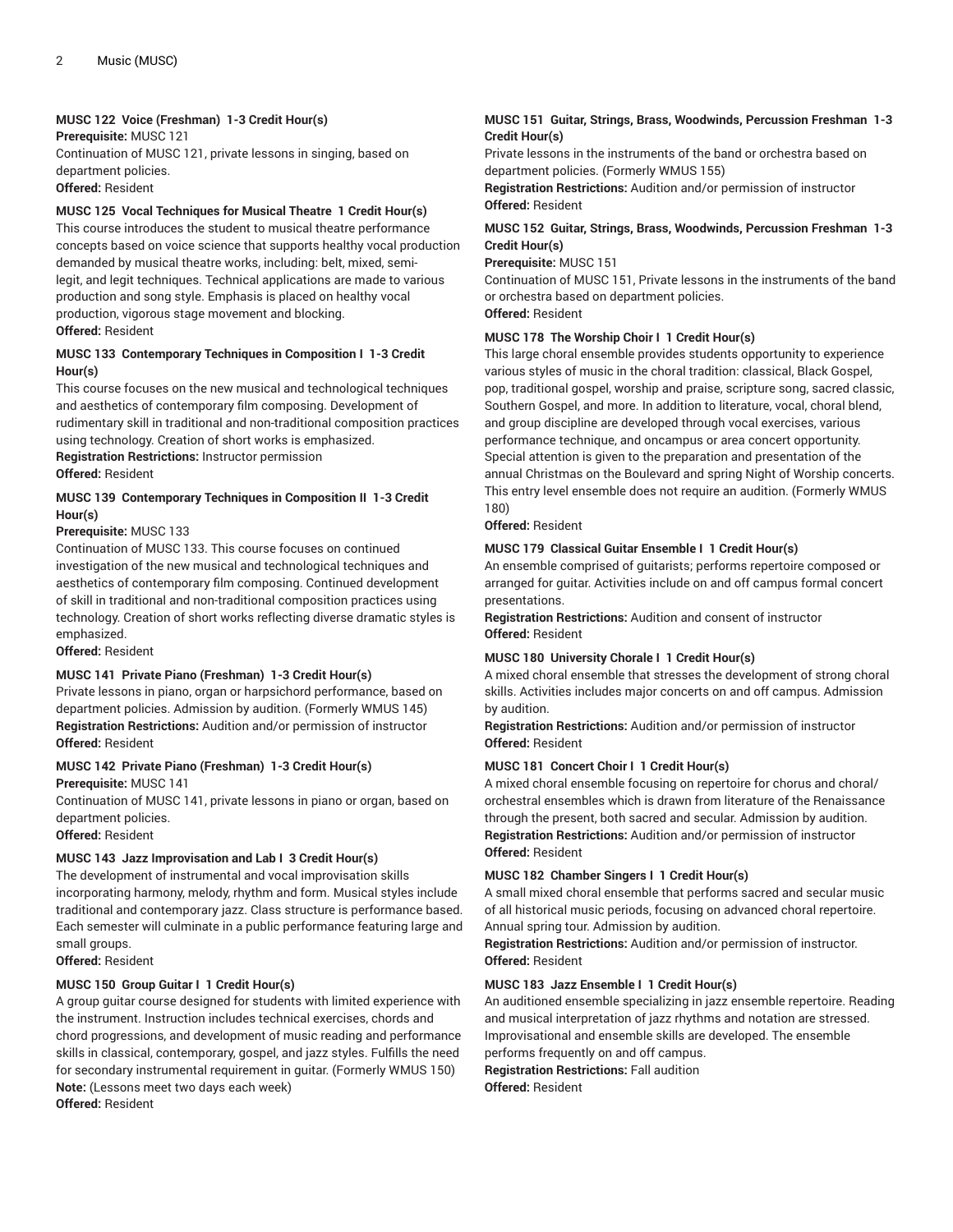#### **MUSC 122 Voice (Freshman) 1-3 Credit Hour(s)**

**Prerequisite:** MUSC 121

Continuation of MUSC 121, private lessons in singing, based on department policies.

**Offered:** Resident

#### **MUSC 125 Vocal Techniques for Musical Theatre 1 Credit Hour(s)**

This course introduces the student to musical theatre performance concepts based on voice science that supports healthy vocal production demanded by musical theatre works, including: belt, mixed, semilegit, and legit techniques. Technical applications are made to various production and song style. Emphasis is placed on healthy vocal production, vigorous stage movement and blocking. **Offered:** Resident

#### **MUSC 133 Contemporary Techniques in Composition I 1-3 Credit Hour(s)**

This course focuses on the new musical and technological techniques and aesthetics of contemporary film composing. Development of rudimentary skill in traditional and non-traditional composition practices using technology. Creation of short works is emphasized.

**Registration Restrictions:** Instructor permission **Offered:** Resident

#### **MUSC 139 Contemporary Techniques in Composition II 1-3 Credit Hour(s)**

#### **Prerequisite:** MUSC 133

Continuation of MUSC 133. This course focuses on continued investigation of the new musical and technological techniques and aesthetics of contemporary film composing. Continued development of skill in traditional and non-traditional composition practices using technology. Creation of short works reflecting diverse dramatic styles is emphasized.

**Offered:** Resident

#### **MUSC 141 Private Piano (Freshman) 1-3 Credit Hour(s)**

Private lessons in piano, organ or harpsichord performance, based on department policies. Admission by audition. (Formerly WMUS 145) **Registration Restrictions:** Audition and/or permission of instructor **Offered:** Resident

#### **MUSC 142 Private Piano (Freshman) 1-3 Credit Hour(s)**

**Prerequisite:** MUSC 141

Continuation of MUSC 141, private lessons in piano or organ, based on department policies.

**Offered:** Resident

#### **MUSC 143 Jazz Improvisation and Lab I 3 Credit Hour(s)**

The development of instrumental and vocal improvisation skills incorporating harmony, melody, rhythm and form. Musical styles include traditional and contemporary jazz. Class structure is performance based. Each semester will culminate in a public performance featuring large and small groups.

**Offered:** Resident

#### **MUSC 150 Group Guitar I 1 Credit Hour(s)**

A group guitar course designed for students with limited experience with the instrument. Instruction includes technical exercises, chords and chord progressions, and development of music reading and performance skills in classical, contemporary, gospel, and jazz styles. Fulfills the need for secondary instrumental requirement in guitar. (Formerly WMUS 150) **Note:** (Lessons meet two days each week) **Offered:** Resident

#### **MUSC 151 Guitar, Strings, Brass, Woodwinds, Percussion Freshman 1-3 Credit Hour(s)**

Private lessons in the instruments of the band or orchestra based on department policies. (Formerly WMUS 155)

**Registration Restrictions:** Audition and/or permission of instructor **Offered:** Resident

#### **MUSC 152 Guitar, Strings, Brass, Woodwinds, Percussion Freshman 1-3 Credit Hour(s)**

**Prerequisite:** MUSC 151

Continuation of MUSC 151, Private lessons in the instruments of the band or orchestra based on department policies. **Offered:** Resident

## **MUSC 178 The Worship Choir I 1 Credit Hour(s)**

This large choral ensemble provides students opportunity to experience various styles of music in the choral tradition: classical, Black Gospel, pop, traditional gospel, worship and praise, scripture song, sacred classic, Southern Gospel, and more. In addition to literature, vocal, choral blend, and group discipline are developed through vocal exercises, various performance technique, and oncampus or area concert opportunity. Special attention is given to the preparation and presentation of the annual Christmas on the Boulevard and spring Night of Worship concerts. This entry level ensemble does not require an audition. (Formerly WMUS 180)

**Offered:** Resident

#### **MUSC 179 Classical Guitar Ensemble I 1 Credit Hour(s)**

An ensemble comprised of guitarists; performs repertoire composed or arranged for guitar. Activities include on and off campus formal concert presentations.

**Registration Restrictions:** Audition and consent of instructor **Offered:** Resident

#### **MUSC 180 University Chorale I 1 Credit Hour(s)**

A mixed choral ensemble that stresses the development of strong choral skills. Activities includes major concerts on and off campus. Admission by audition.

**Registration Restrictions:** Audition and/or permission of instructor **Offered:** Resident

#### **MUSC 181 Concert Choir I 1 Credit Hour(s)**

A mixed choral ensemble focusing on repertoire for chorus and choral/ orchestral ensembles which is drawn from literature of the Renaissance through the present, both sacred and secular. Admission by audition. **Registration Restrictions:** Audition and/or permission of instructor **Offered:** Resident

#### **MUSC 182 Chamber Singers I 1 Credit Hour(s)**

A small mixed choral ensemble that performs sacred and secular music of all historical music periods, focusing on advanced choral repertoire. Annual spring tour. Admission by audition.

**Registration Restrictions:** Audition and/or permission of instructor. **Offered:** Resident

#### **MUSC 183 Jazz Ensemble I 1 Credit Hour(s)**

An auditioned ensemble specializing in jazz ensemble repertoire. Reading and musical interpretation of jazz rhythms and notation are stressed. Improvisational and ensemble skills are developed. The ensemble performs frequently on and off campus.

**Registration Restrictions:** Fall audition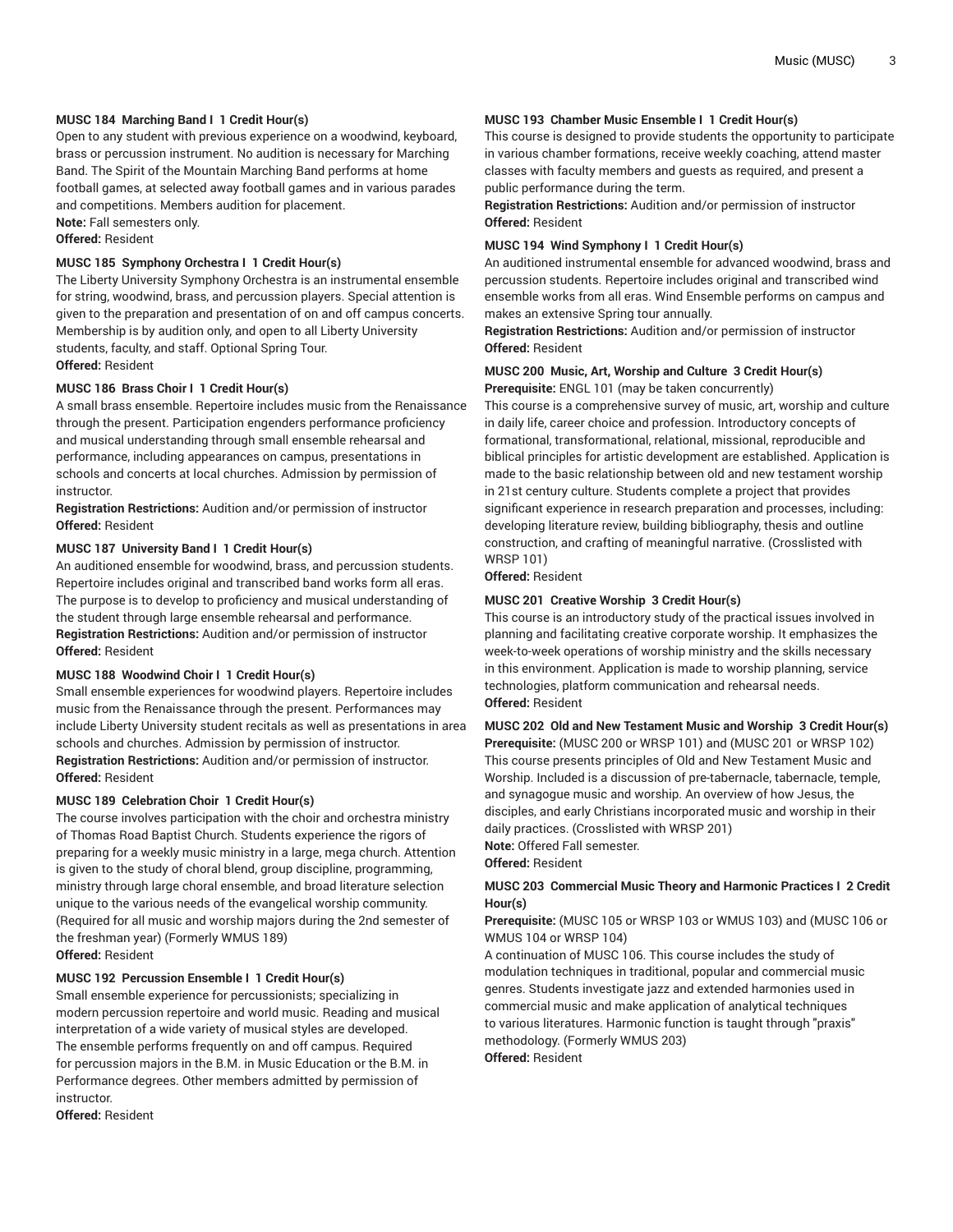#### **MUSC 184 Marching Band I 1 Credit Hour(s)**

Open to any student with previous experience on a woodwind, keyboard, brass or percussion instrument. No audition is necessary for Marching Band. The Spirit of the Mountain Marching Band performs at home football games, at selected away football games and in various parades and competitions. Members audition for placement. **Note:** Fall semesters only.

**Offered:** Resident

#### **MUSC 185 Symphony Orchestra I 1 Credit Hour(s)**

The Liberty University Symphony Orchestra is an instrumental ensemble for string, woodwind, brass, and percussion players. Special attention is given to the preparation and presentation of on and off campus concerts. Membership is by audition only, and open to all Liberty University students, faculty, and staff. Optional Spring Tour. **Offered:** Resident

#### **MUSC 186 Brass Choir I 1 Credit Hour(s)**

A small brass ensemble. Repertoire includes music from the Renaissance through the present. Participation engenders performance proficiency and musical understanding through small ensemble rehearsal and performance, including appearances on campus, presentations in schools and concerts at local churches. Admission by permission of instructor.

**Registration Restrictions:** Audition and/or permission of instructor **Offered:** Resident

#### **MUSC 187 University Band I 1 Credit Hour(s)**

An auditioned ensemble for woodwind, brass, and percussion students. Repertoire includes original and transcribed band works form all eras. The purpose is to develop to proficiency and musical understanding of the student through large ensemble rehearsal and performance. **Registration Restrictions:** Audition and/or permission of instructor **Offered:** Resident

#### **MUSC 188 Woodwind Choir I 1 Credit Hour(s)**

Small ensemble experiences for woodwind players. Repertoire includes music from the Renaissance through the present. Performances may include Liberty University student recitals as well as presentations in area schools and churches. Admission by permission of instructor. **Registration Restrictions:** Audition and/or permission of instructor. **Offered:** Resident

#### **MUSC 189 Celebration Choir 1 Credit Hour(s)**

The course involves participation with the choir and orchestra ministry of Thomas Road Baptist Church. Students experience the rigors of preparing for a weekly music ministry in a large, mega church. Attention is given to the study of choral blend, group discipline, programming, ministry through large choral ensemble, and broad literature selection unique to the various needs of the evangelical worship community. (Required for all music and worship majors during the 2nd semester of the freshman year) (Formerly WMUS 189) **Offered:** Resident

**MUSC 192 Percussion Ensemble I 1 Credit Hour(s)**

Small ensemble experience for percussionists; specializing in modern percussion repertoire and world music. Reading and musical interpretation of a wide variety of musical styles are developed. The ensemble performs frequently on and off campus. Required for percussion majors in the B.M. in Music Education or the B.M. in Performance degrees. Other members admitted by permission of instructor.

**Offered:** Resident

#### **MUSC 193 Chamber Music Ensemble I 1 Credit Hour(s)**

This course is designed to provide students the opportunity to participate in various chamber formations, receive weekly coaching, attend master classes with faculty members and guests as required, and present a public performance during the term.

**Registration Restrictions:** Audition and/or permission of instructor **Offered:** Resident

#### **MUSC 194 Wind Symphony I 1 Credit Hour(s)**

An auditioned instrumental ensemble for advanced woodwind, brass and percussion students. Repertoire includes original and transcribed wind ensemble works from all eras. Wind Ensemble performs on campus and makes an extensive Spring tour annually.

**Registration Restrictions:** Audition and/or permission of instructor **Offered:** Resident

#### **MUSC 200 Music, Art, Worship and Culture 3 Credit Hour(s) Prerequisite:** ENGL 101 (may be taken concurrently)

This course is a comprehensive survey of music, art, worship and culture in daily life, career choice and profession. Introductory concepts of formational, transformational, relational, missional, reproducible and biblical principles for artistic development are established. Application is made to the basic relationship between old and new testament worship in 21st century culture. Students complete a project that provides significant experience in research preparation and processes, including: developing literature review, building bibliography, thesis and outline construction, and crafting of meaningful narrative. (Crosslisted with WRSP 101)

**Offered:** Resident

#### **MUSC 201 Creative Worship 3 Credit Hour(s)**

This course is an introductory study of the practical issues involved in planning and facilitating creative corporate worship. It emphasizes the week-to-week operations of worship ministry and the skills necessary in this environment. Application is made to worship planning, service technologies, platform communication and rehearsal needs. **Offered:** Resident

**MUSC 202 Old and New Testament Music and Worship 3 Credit Hour(s) Prerequisite:** (MUSC 200 or WRSP 101) and (MUSC 201 or WRSP 102) This course presents principles of Old and New Testament Music and Worship. Included is a discussion of pre-tabernacle, tabernacle, temple, and synagogue music and worship. An overview of how Jesus, the disciples, and early Christians incorporated music and worship in their daily practices. (Crosslisted with WRSP 201) **Note:** Offered Fall semester.

**Offered:** Resident

#### **MUSC 203 Commercial Music Theory and Harmonic Practices I 2 Credit Hour(s)**

#### **Prerequisite:** (MUSC 105 or WRSP 103 or WMUS 103) and (MUSC 106 or WMUS 104 or WRSP 104)

A continuation of MUSC 106. This course includes the study of modulation techniques in traditional, popular and commercial music genres. Students investigate jazz and extended harmonies used in commercial music and make application of analytical techniques to various literatures. Harmonic function is taught through "praxis" methodology. (Formerly WMUS 203) **Offered:** Resident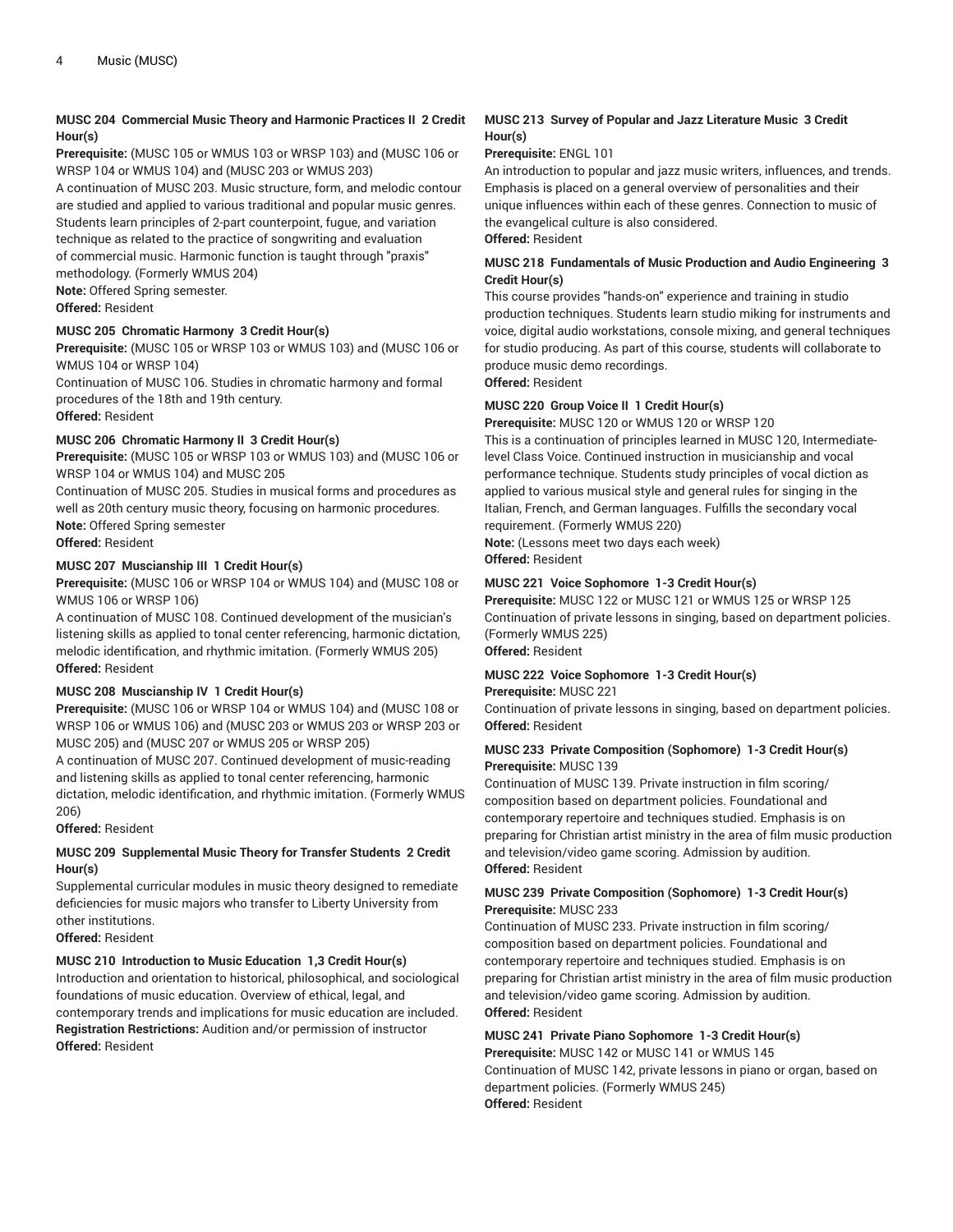#### **MUSC 204 Commercial Music Theory and Harmonic Practices II 2 Credit Hour(s)**

**Prerequisite:** (MUSC 105 or WMUS 103 or WRSP 103) and (MUSC 106 or WRSP 104 or WMUS 104) and (MUSC 203 or WMUS 203)

A continuation of MUSC 203. Music structure, form, and melodic contour are studied and applied to various traditional and popular music genres. Students learn principles of 2-part counterpoint, fugue, and variation technique as related to the practice of songwriting and evaluation of commercial music. Harmonic function is taught through "praxis" methodology. (Formerly WMUS 204)

**Note:** Offered Spring semester.

**Offered:** Resident

#### **MUSC 205 Chromatic Harmony 3 Credit Hour(s)**

**Prerequisite:** (MUSC 105 or WRSP 103 or WMUS 103) and (MUSC 106 or WMUS 104 or WRSP 104)

Continuation of MUSC 106. Studies in chromatic harmony and formal procedures of the 18th and 19th century.

**Offered:** Resident

#### **MUSC 206 Chromatic Harmony II 3 Credit Hour(s)**

**Prerequisite:** (MUSC 105 or WRSP 103 or WMUS 103) and (MUSC 106 or WRSP 104 or WMUS 104) and MUSC 205

Continuation of MUSC 205. Studies in musical forms and procedures as well as 20th century music theory, focusing on harmonic procedures. **Note:** Offered Spring semester

**Offered:** Resident

#### **MUSC 207 Muscianship III 1 Credit Hour(s)**

**Prerequisite:** (MUSC 106 or WRSP 104 or WMUS 104) and (MUSC 108 or WMUS 106 or WRSP 106)

A continuation of MUSC 108. Continued development of the musician's listening skills as applied to tonal center referencing, harmonic dictation, melodic identification, and rhythmic imitation. (Formerly WMUS 205) **Offered:** Resident

#### **MUSC 208 Muscianship IV 1 Credit Hour(s)**

**Prerequisite:** (MUSC 106 or WRSP 104 or WMUS 104) and (MUSC 108 or WRSP 106 or WMUS 106) and (MUSC 203 or WMUS 203 or WRSP 203 or MUSC 205) and (MUSC 207 or WMUS 205 or WRSP 205)

A continuation of MUSC 207. Continued development of music-reading and listening skills as applied to tonal center referencing, harmonic dictation, melodic identification, and rhythmic imitation. (Formerly WMUS 206)

**Offered:** Resident

#### **MUSC 209 Supplemental Music Theory for Transfer Students 2 Credit Hour(s)**

Supplemental curricular modules in music theory designed to remediate deficiencies for music majors who transfer to Liberty University from other institutions.

**Offered:** Resident

#### **MUSC 210 Introduction to Music Education 1,3 Credit Hour(s)**

Introduction and orientation to historical, philosophical, and sociological foundations of music education. Overview of ethical, legal, and contemporary trends and implications for music education are included. **Registration Restrictions:** Audition and/or permission of instructor **Offered:** Resident

#### **MUSC 213 Survey of Popular and Jazz Literature Music 3 Credit Hour(s)**

#### **Prerequisite:** ENGL 101

An introduction to popular and jazz music writers, influences, and trends. Emphasis is placed on a general overview of personalities and their unique influences within each of these genres. Connection to music of the evangelical culture is also considered. **Offered:** Resident

#### **MUSC 218 Fundamentals of Music Production and Audio Engineering 3 Credit Hour(s)**

This course provides "hands-on" experience and training in studio production techniques. Students learn studio miking for instruments and voice, digital audio workstations, console mixing, and general techniques for studio producing. As part of this course, students will collaborate to produce music demo recordings.

**Offered:** Resident

#### **MUSC 220 Group Voice II 1 Credit Hour(s)**

**Prerequisite:** MUSC 120 or WMUS 120 or WRSP 120

This is a continuation of principles learned in MUSC 120, Intermediatelevel Class Voice. Continued instruction in musicianship and vocal performance technique. Students study principles of vocal diction as applied to various musical style and general rules for singing in the Italian, French, and German languages. Fulfills the secondary vocal requirement. (Formerly WMUS 220)

**Note:** (Lessons meet two days each week)

### **Offered:** Resident

#### **MUSC 221 Voice Sophomore 1-3 Credit Hour(s)**

**Prerequisite:** MUSC 122 or MUSC 121 or WMUS 125 or WRSP 125 Continuation of private lessons in singing, based on department policies. (Formerly WMUS 225) **Offered:** Resident

#### **MUSC 222 Voice Sophomore 1-3 Credit Hour(s)**

#### **Prerequisite:** MUSC 221

Continuation of private lessons in singing, based on department policies. **Offered:** Resident

#### **MUSC 233 Private Composition (Sophomore) 1-3 Credit Hour(s) Prerequisite:** MUSC 139

Continuation of MUSC 139. Private instruction in film scoring/ composition based on department policies. Foundational and contemporary repertoire and techniques studied. Emphasis is on preparing for Christian artist ministry in the area of film music production and television/video game scoring. Admission by audition. **Offered:** Resident

#### **MUSC 239 Private Composition (Sophomore) 1-3 Credit Hour(s) Prerequisite:** MUSC 233

Continuation of MUSC 233. Private instruction in film scoring/ composition based on department policies. Foundational and contemporary repertoire and techniques studied. Emphasis is on preparing for Christian artist ministry in the area of film music production and television/video game scoring. Admission by audition. **Offered:** Resident

### **MUSC 241 Private Piano Sophomore 1-3 Credit Hour(s)**

**Prerequisite:** MUSC 142 or MUSC 141 or WMUS 145 Continuation of MUSC 142, private lessons in piano or organ, based on department policies. (Formerly WMUS 245) **Offered:** Resident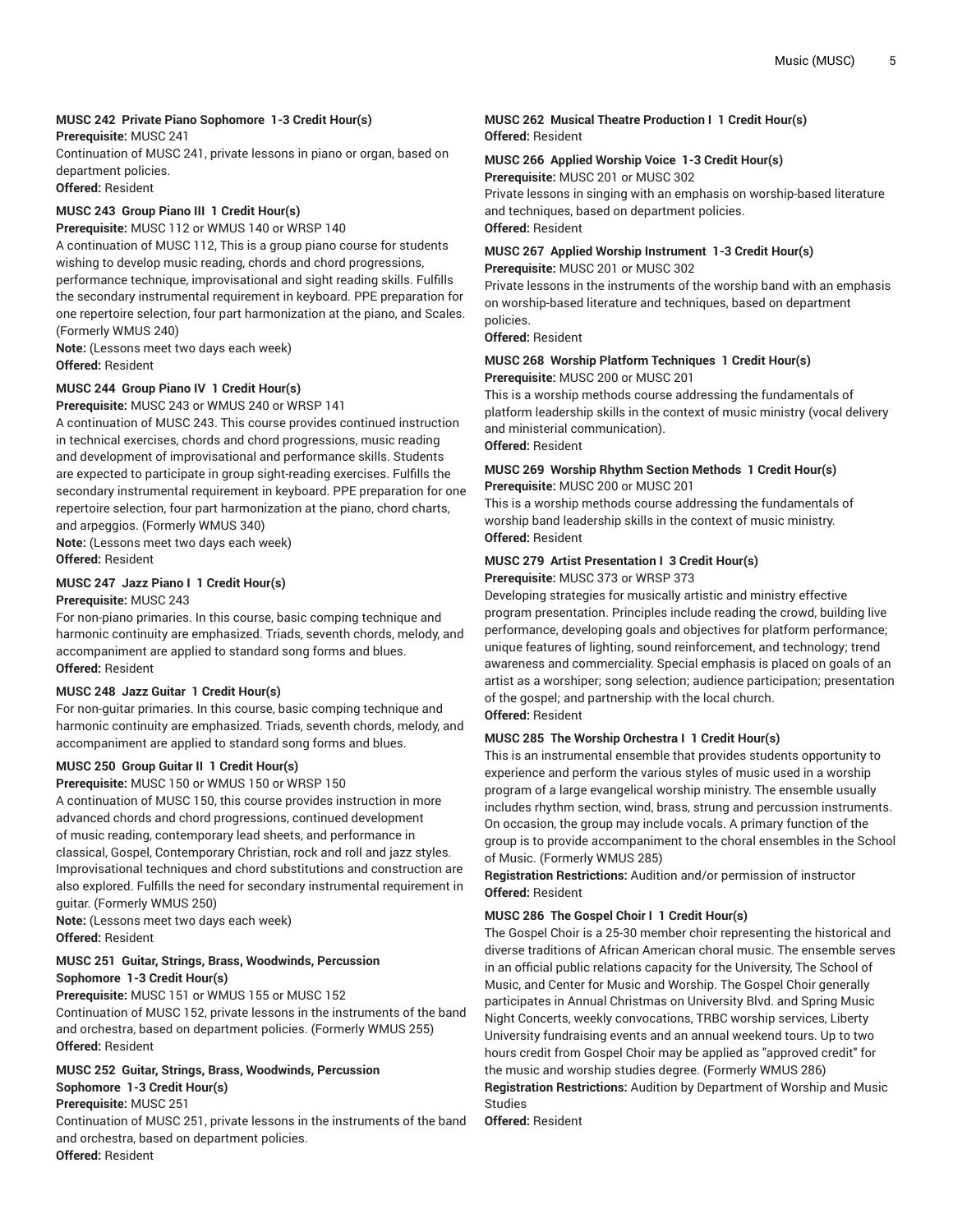#### **MUSC 242 Private Piano Sophomore 1-3 Credit Hour(s)**

**Prerequisite:** MUSC 241

Continuation of MUSC 241, private lessons in piano or organ, based on department policies.

**Offered:** Resident

#### **MUSC 243 Group Piano III 1 Credit Hour(s)**

**Prerequisite:** MUSC 112 or WMUS 140 or WRSP 140

A continuation of MUSC 112, This is a group piano course for students wishing to develop music reading, chords and chord progressions, performance technique, improvisational and sight reading skills. Fulfills the secondary instrumental requirement in keyboard. PPE preparation for one repertoire selection, four part harmonization at the piano, and Scales. (Formerly WMUS 240)

**Note:** (Lessons meet two days each week) **Offered:** Resident

#### **MUSC 244 Group Piano IV 1 Credit Hour(s)**

**Prerequisite:** MUSC 243 or WMUS 240 or WRSP 141

A continuation of MUSC 243. This course provides continued instruction in technical exercises, chords and chord progressions, music reading and development of improvisational and performance skills. Students are expected to participate in group sight-reading exercises. Fulfills the secondary instrumental requirement in keyboard. PPE preparation for one repertoire selection, four part harmonization at the piano, chord charts, and arpeggios. (Formerly WMUS 340)

**Note:** (Lessons meet two days each week) **Offered:** Resident

### **MUSC 247 Jazz Piano I 1 Credit Hour(s)**

**Prerequisite:** MUSC 243

For non-piano primaries. In this course, basic comping technique and harmonic continuity are emphasized. Triads, seventh chords, melody, and accompaniment are applied to standard song forms and blues. **Offered:** Resident

#### **MUSC 248 Jazz Guitar 1 Credit Hour(s)**

For non-guitar primaries. In this course, basic comping technique and harmonic continuity are emphasized. Triads, seventh chords, melody, and accompaniment are applied to standard song forms and blues.

#### **MUSC 250 Group Guitar II 1 Credit Hour(s)**

**Prerequisite:** MUSC 150 or WMUS 150 or WRSP 150 A continuation of MUSC 150, this course provides instruction in more advanced chords and chord progressions, continued development of music reading, contemporary lead sheets, and performance in classical, Gospel, Contemporary Christian, rock and roll and jazz styles. Improvisational techniques and chord substitutions and construction are also explored. Fulfills the need for secondary instrumental requirement in guitar. (Formerly WMUS 250)

**Note:** (Lessons meet two days each week) **Offered:** Resident

#### **MUSC 251 Guitar, Strings, Brass, Woodwinds, Percussion Sophomore 1-3 Credit Hour(s)**

**Prerequisite:** MUSC 151 or WMUS 155 or MUSC 152 Continuation of MUSC 152, private lessons in the instruments of the band and orchestra, based on department policies. (Formerly WMUS 255) **Offered:** Resident

### **MUSC 252 Guitar, Strings, Brass, Woodwinds, Percussion Sophomore 1-3 Credit Hour(s)**

#### **Prerequisite:** MUSC 251

Continuation of MUSC 251, private lessons in the instruments of the band and orchestra, based on department policies. **Offered:** Resident

#### **MUSC 262 Musical Theatre Production I 1 Credit Hour(s) Offered:** Resident

### **MUSC 266 Applied Worship Voice 1-3 Credit Hour(s)**

**Prerequisite:** MUSC 201 or MUSC 302 Private lessons in singing with an emphasis on worship-based literature and techniques, based on department policies.

#### **Offered:** Resident

#### **MUSC 267 Applied Worship Instrument 1-3 Credit Hour(s) Prerequisite:** MUSC 201 or MUSC 302

Private lessons in the instruments of the worship band with an emphasis on worship-based literature and techniques, based on department policies.

#### **Offered:** Resident

### **MUSC 268 Worship Platform Techniques 1 Credit Hour(s)**

**Prerequisite:** MUSC 200 or MUSC 201

This is a worship methods course addressing the fundamentals of platform leadership skills in the context of music ministry (vocal delivery and ministerial communication). **Offered:** Resident

#### **MUSC 269 Worship Rhythm Section Methods 1 Credit Hour(s) Prerequisite:** MUSC 200 or MUSC 201

This is a worship methods course addressing the fundamentals of worship band leadership skills in the context of music ministry. **Offered:** Resident

#### **MUSC 279 Artist Presentation I 3 Credit Hour(s)**

**Prerequisite:** MUSC 373 or WRSP 373

Developing strategies for musically artistic and ministry effective program presentation. Principles include reading the crowd, building live performance, developing goals and objectives for platform performance; unique features of lighting, sound reinforcement, and technology; trend awareness and commerciality. Special emphasis is placed on goals of an artist as a worshiper; song selection; audience participation; presentation of the gospel; and partnership with the local church. **Offered:** Resident

#### **MUSC 285 The Worship Orchestra I 1 Credit Hour(s)**

This is an instrumental ensemble that provides students opportunity to experience and perform the various styles of music used in a worship program of a large evangelical worship ministry. The ensemble usually includes rhythm section, wind, brass, strung and percussion instruments. On occasion, the group may include vocals. A primary function of the group is to provide accompaniment to the choral ensembles in the School of Music. (Formerly WMUS 285)

**Registration Restrictions:** Audition and/or permission of instructor **Offered:** Resident

#### **MUSC 286 The Gospel Choir I 1 Credit Hour(s)**

The Gospel Choir is a 25-30 member choir representing the historical and diverse traditions of African American choral music. The ensemble serves in an official public relations capacity for the University, The School of Music, and Center for Music and Worship. The Gospel Choir generally participates in Annual Christmas on University Blvd. and Spring Music Night Concerts, weekly convocations, TRBC worship services, Liberty University fundraising events and an annual weekend tours. Up to two hours credit from Gospel Choir may be applied as "approved credit" for the music and worship studies degree. (Formerly WMUS 286)

**Registration Restrictions:** Audition by Department of Worship and Music Studies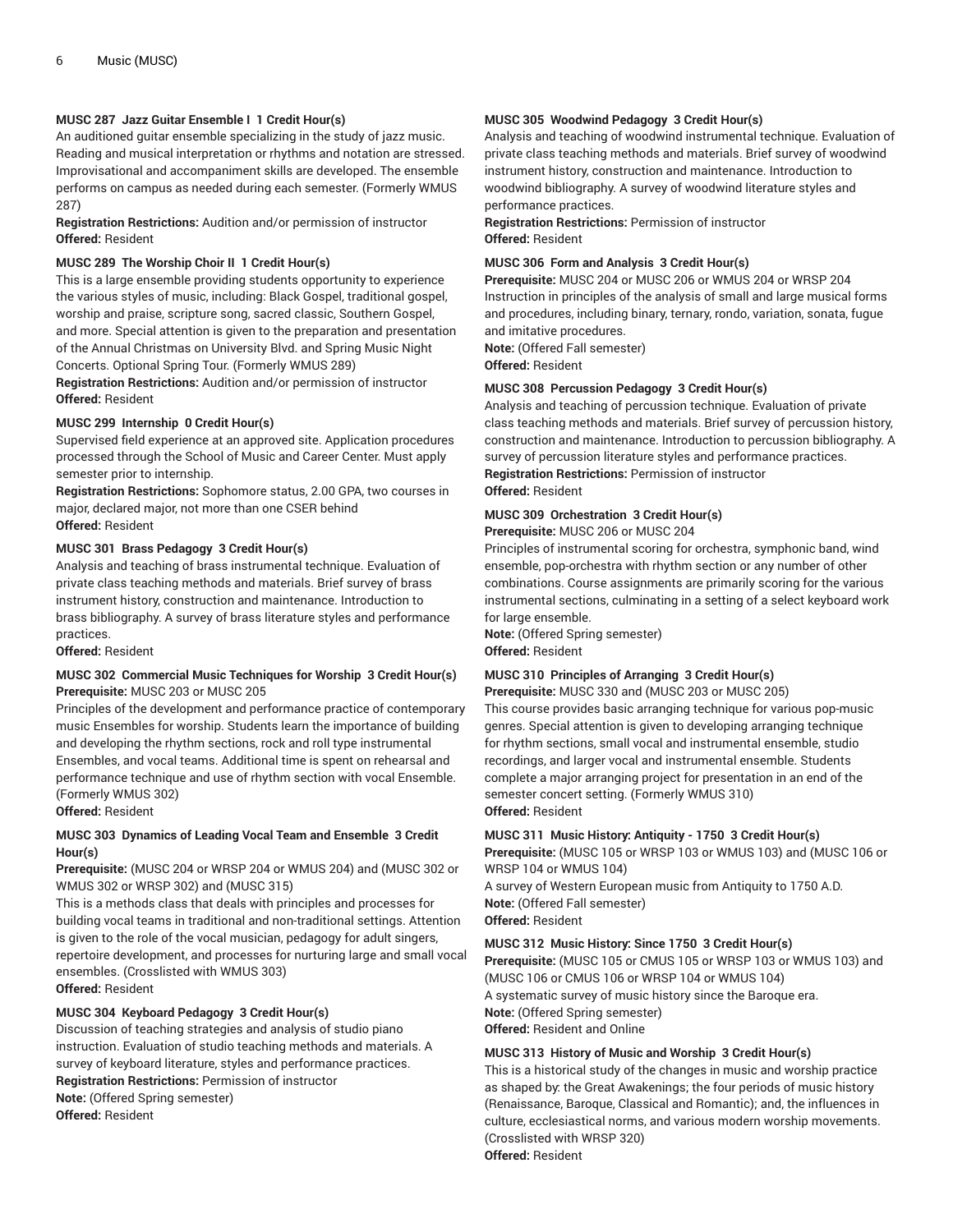#### **MUSC 287 Jazz Guitar Ensemble I 1 Credit Hour(s)**

An auditioned guitar ensemble specializing in the study of jazz music. Reading and musical interpretation or rhythms and notation are stressed. Improvisational and accompaniment skills are developed. The ensemble performs on campus as needed during each semester. (Formerly WMUS 287)

**Registration Restrictions:** Audition and/or permission of instructor **Offered:** Resident

#### **MUSC 289 The Worship Choir II 1 Credit Hour(s)**

This is a large ensemble providing students opportunity to experience the various styles of music, including: Black Gospel, traditional gospel, worship and praise, scripture song, sacred classic, Southern Gospel, and more. Special attention is given to the preparation and presentation of the Annual Christmas on University Blvd. and Spring Music Night Concerts. Optional Spring Tour. (Formerly WMUS 289)

**Registration Restrictions:** Audition and/or permission of instructor **Offered:** Resident

#### **MUSC 299 Internship 0 Credit Hour(s)**

Supervised field experience at an approved site. Application procedures processed through the School of Music and Career Center. Must apply semester prior to internship.

**Registration Restrictions:** Sophomore status, 2.00 GPA, two courses in major, declared major, not more than one CSER behind **Offered:** Resident

#### **MUSC 301 Brass Pedagogy 3 Credit Hour(s)**

Analysis and teaching of brass instrumental technique. Evaluation of private class teaching methods and materials. Brief survey of brass instrument history, construction and maintenance. Introduction to brass bibliography. A survey of brass literature styles and performance practices.

**Offered:** Resident

#### **MUSC 302 Commercial Music Techniques for Worship 3 Credit Hour(s) Prerequisite:** MUSC 203 or MUSC 205

Principles of the development and performance practice of contemporary music Ensembles for worship. Students learn the importance of building and developing the rhythm sections, rock and roll type instrumental Ensembles, and vocal teams. Additional time is spent on rehearsal and performance technique and use of rhythm section with vocal Ensemble. (Formerly WMUS 302)

**Offered:** Resident

#### **MUSC 303 Dynamics of Leading Vocal Team and Ensemble 3 Credit Hour(s)**

#### **Prerequisite:** (MUSC 204 or WRSP 204 or WMUS 204) and (MUSC 302 or WMUS 302 or WRSP 302) and (MUSC 315)

This is a methods class that deals with principles and processes for building vocal teams in traditional and non-traditional settings. Attention is given to the role of the vocal musician, pedagogy for adult singers, repertoire development, and processes for nurturing large and small vocal ensembles. (Crosslisted with WMUS 303) **Offered:** Resident

#### **MUSC 304 Keyboard Pedagogy 3 Credit Hour(s)**

Discussion of teaching strategies and analysis of studio piano instruction. Evaluation of studio teaching methods and materials. A survey of keyboard literature, styles and performance practices. **Registration Restrictions:** Permission of instructor **Note:** (Offered Spring semester) **Offered:** Resident

#### **MUSC 305 Woodwind Pedagogy 3 Credit Hour(s)**

Analysis and teaching of woodwind instrumental technique. Evaluation of private class teaching methods and materials. Brief survey of woodwind instrument history, construction and maintenance. Introduction to woodwind bibliography. A survey of woodwind literature styles and performance practices.

**Registration Restrictions:** Permission of instructor **Offered:** Resident

#### **MUSC 306 Form and Analysis 3 Credit Hour(s)**

**Prerequisite:** MUSC 204 or MUSC 206 or WMUS 204 or WRSP 204 Instruction in principles of the analysis of small and large musical forms and procedures, including binary, ternary, rondo, variation, sonata, fugue and imitative procedures.

**Note:** (Offered Fall semester)

**Offered:** Resident

#### **MUSC 308 Percussion Pedagogy 3 Credit Hour(s)**

Analysis and teaching of percussion technique. Evaluation of private class teaching methods and materials. Brief survey of percussion history, construction and maintenance. Introduction to percussion bibliography. A survey of percussion literature styles and performance practices. **Registration Restrictions:** Permission of instructor **Offered:** Resident

#### **MUSC 309 Orchestration 3 Credit Hour(s)**

**Prerequisite:** MUSC 206 or MUSC 204

Principles of instrumental scoring for orchestra, symphonic band, wind ensemble, pop-orchestra with rhythm section or any number of other combinations. Course assignments are primarily scoring for the various instrumental sections, culminating in a setting of a select keyboard work for large ensemble.

**Note:** (Offered Spring semester) **Offered:** Resident

#### **MUSC 310 Principles of Arranging 3 Credit Hour(s)**

**Prerequisite:** MUSC 330 and (MUSC 203 or MUSC 205)

This course provides basic arranging technique for various pop-music genres. Special attention is given to developing arranging technique for rhythm sections, small vocal and instrumental ensemble, studio recordings, and larger vocal and instrumental ensemble. Students complete a major arranging project for presentation in an end of the semester concert setting. (Formerly WMUS 310) **Offered:** Resident

#### **MUSC 311 Music History: Antiquity - 1750 3 Credit Hour(s)**

**Prerequisite:** (MUSC 105 or WRSP 103 or WMUS 103) and (MUSC 106 or WRSP 104 or WMUS 104)

A survey of Western European music from Antiquity to 1750 A.D. **Note:** (Offered Fall semester) **Offered:** Resident

### **MUSC 312 Music History: Since 1750 3 Credit Hour(s)**

**Prerequisite:** (MUSC 105 or CMUS 105 or WRSP 103 or WMUS 103) and (MUSC 106 or CMUS 106 or WRSP 104 or WMUS 104) A systematic survey of music history since the Baroque era. **Note:** (Offered Spring semester) **Offered:** Resident and Online

#### **MUSC 313 History of Music and Worship 3 Credit Hour(s)**

This is a historical study of the changes in music and worship practice as shaped by: the Great Awakenings; the four periods of music history (Renaissance, Baroque, Classical and Romantic); and, the influences in culture, ecclesiastical norms, and various modern worship movements. (Crosslisted with WRSP 320) **Offered:** Resident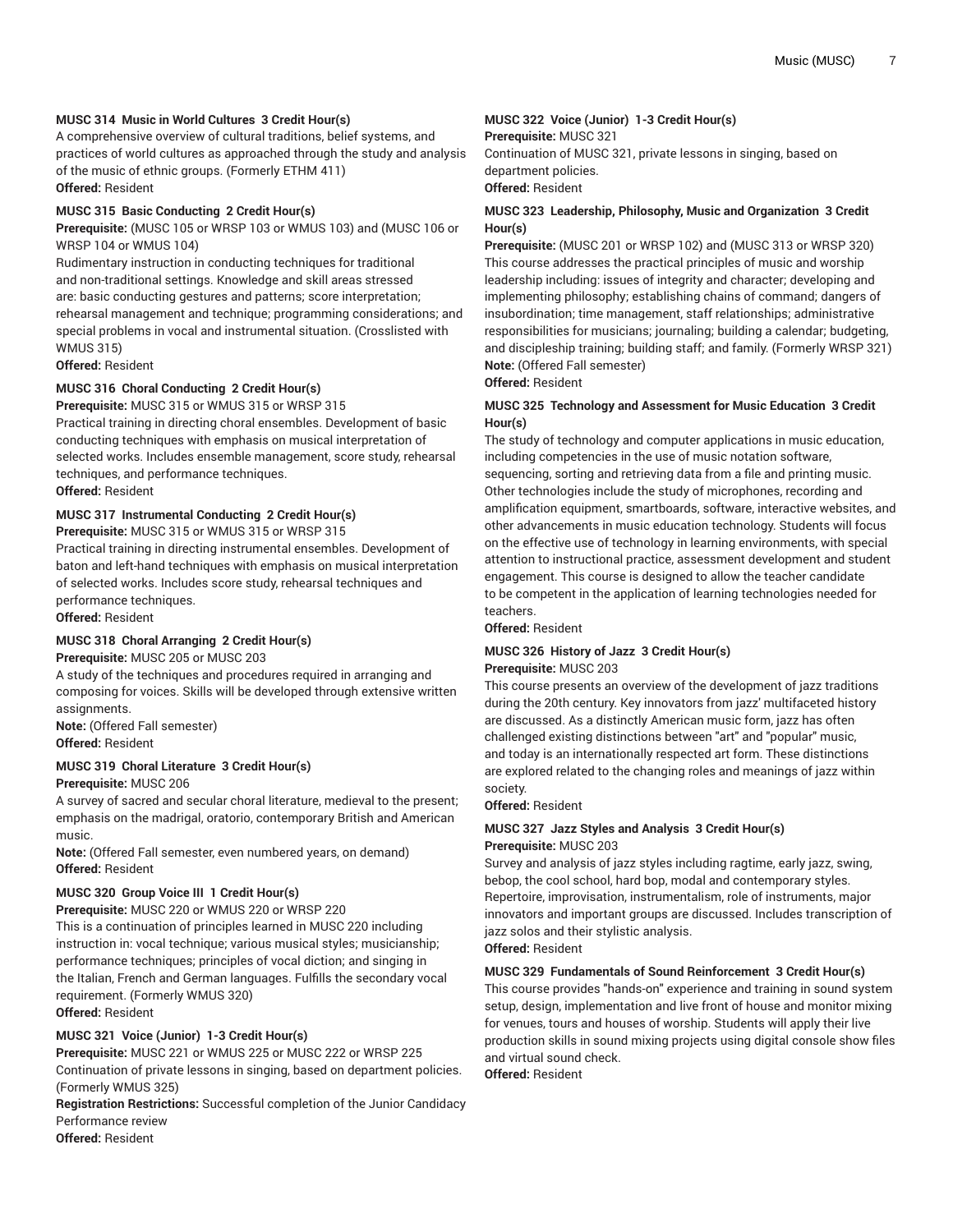#### **MUSC 314 Music in World Cultures 3 Credit Hour(s)**

A comprehensive overview of cultural traditions, belief systems, and practices of world cultures as approached through the study and analysis of the music of ethnic groups. (Formerly ETHM 411) **Offered:** Resident

#### **MUSC 315 Basic Conducting 2 Credit Hour(s)**

**Prerequisite:** (MUSC 105 or WRSP 103 or WMUS 103) and (MUSC 106 or WRSP 104 or WMUS 104)

Rudimentary instruction in conducting techniques for traditional and non-traditional settings. Knowledge and skill areas stressed are: basic conducting gestures and patterns; score interpretation; rehearsal management and technique; programming considerations; and special problems in vocal and instrumental situation. (Crosslisted with WMUS 315)

**Offered:** Resident

#### **MUSC 316 Choral Conducting 2 Credit Hour(s)**

**Prerequisite:** MUSC 315 or WMUS 315 or WRSP 315

Practical training in directing choral ensembles. Development of basic conducting techniques with emphasis on musical interpretation of selected works. Includes ensemble management, score study, rehearsal techniques, and performance techniques.

**Offered:** Resident

#### **MUSC 317 Instrumental Conducting 2 Credit Hour(s)**

**Prerequisite:** MUSC 315 or WMUS 315 or WRSP 315

Practical training in directing instrumental ensembles. Development of baton and left-hand techniques with emphasis on musical interpretation of selected works. Includes score study, rehearsal techniques and performance techniques.

**Offered:** Resident

#### **MUSC 318 Choral Arranging 2 Credit Hour(s)**

**Prerequisite:** MUSC 205 or MUSC 203

A study of the techniques and procedures required in arranging and composing for voices. Skills will be developed through extensive written assignments.

**Note:** (Offered Fall semester) **Offered:** Resident

#### **MUSC 319 Choral Literature 3 Credit Hour(s)**

**Prerequisite:** MUSC 206

A survey of sacred and secular choral literature, medieval to the present; emphasis on the madrigal, oratorio, contemporary British and American music.

**Note:** (Offered Fall semester, even numbered years, on demand) **Offered:** Resident

#### **MUSC 320 Group Voice III 1 Credit Hour(s)**

**Prerequisite:** MUSC 220 or WMUS 220 or WRSP 220

This is a continuation of principles learned in MUSC 220 including instruction in: vocal technique; various musical styles; musicianship; performance techniques; principles of vocal diction; and singing in the Italian, French and German languages. Fulfills the secondary vocal requirement. (Formerly WMUS 320)

**Offered:** Resident

#### **MUSC 321 Voice (Junior) 1-3 Credit Hour(s)**

**Prerequisite:** MUSC 221 or WMUS 225 or MUSC 222 or WRSP 225 Continuation of private lessons in singing, based on department policies. (Formerly WMUS 325)

**Registration Restrictions:** Successful completion of the Junior Candidacy Performance review

**Offered:** Resident

#### **MUSC 322 Voice (Junior) 1-3 Credit Hour(s) Prerequisite:** MUSC 321

Continuation of MUSC 321, private lessons in singing, based on department policies.

#### **Offered:** Resident

#### **MUSC 323 Leadership, Philosophy, Music and Organization 3 Credit Hour(s)**

**Prerequisite:** (MUSC 201 or WRSP 102) and (MUSC 313 or WRSP 320) This course addresses the practical principles of music and worship leadership including: issues of integrity and character; developing and implementing philosophy; establishing chains of command; dangers of insubordination; time management, staff relationships; administrative responsibilities for musicians; journaling; building a calendar; budgeting, and discipleship training; building staff; and family. (Formerly WRSP 321) **Note:** (Offered Fall semester)

**Offered:** Resident

#### **MUSC 325 Technology and Assessment for Music Education 3 Credit Hour(s)**

The study of technology and computer applications in music education, including competencies in the use of music notation software, sequencing, sorting and retrieving data from a file and printing music. Other technologies include the study of microphones, recording and amplification equipment, smartboards, software, interactive websites, and other advancements in music education technology. Students will focus on the effective use of technology in learning environments, with special attention to instructional practice, assessment development and student engagement. This course is designed to allow the teacher candidate to be competent in the application of learning technologies needed for teachers.

**Offered:** Resident

## **MUSC 326 History of Jazz 3 Credit Hour(s)**

#### **Prerequisite:** MUSC 203

This course presents an overview of the development of jazz traditions during the 20th century. Key innovators from jazz' multifaceted history are discussed. As a distinctly American music form, jazz has often challenged existing distinctions between "art" and "popular" music, and today is an internationally respected art form. These distinctions are explored related to the changing roles and meanings of jazz within society.

#### **Offered:** Resident

#### **MUSC 327 Jazz Styles and Analysis 3 Credit Hour(s) Prerequisite:** MUSC 203

Survey and analysis of jazz styles including ragtime, early jazz, swing, bebop, the cool school, hard bop, modal and contemporary styles. Repertoire, improvisation, instrumentalism, role of instruments, major innovators and important groups are discussed. Includes transcription of jazz solos and their stylistic analysis. **Offered:** Resident

#### **MUSC 329 Fundamentals of Sound Reinforcement 3 Credit Hour(s)**

This course provides "hands-on" experience and training in sound system setup, design, implementation and live front of house and monitor mixing for venues, tours and houses of worship. Students will apply their live production skills in sound mixing projects using digital console show files and virtual sound check.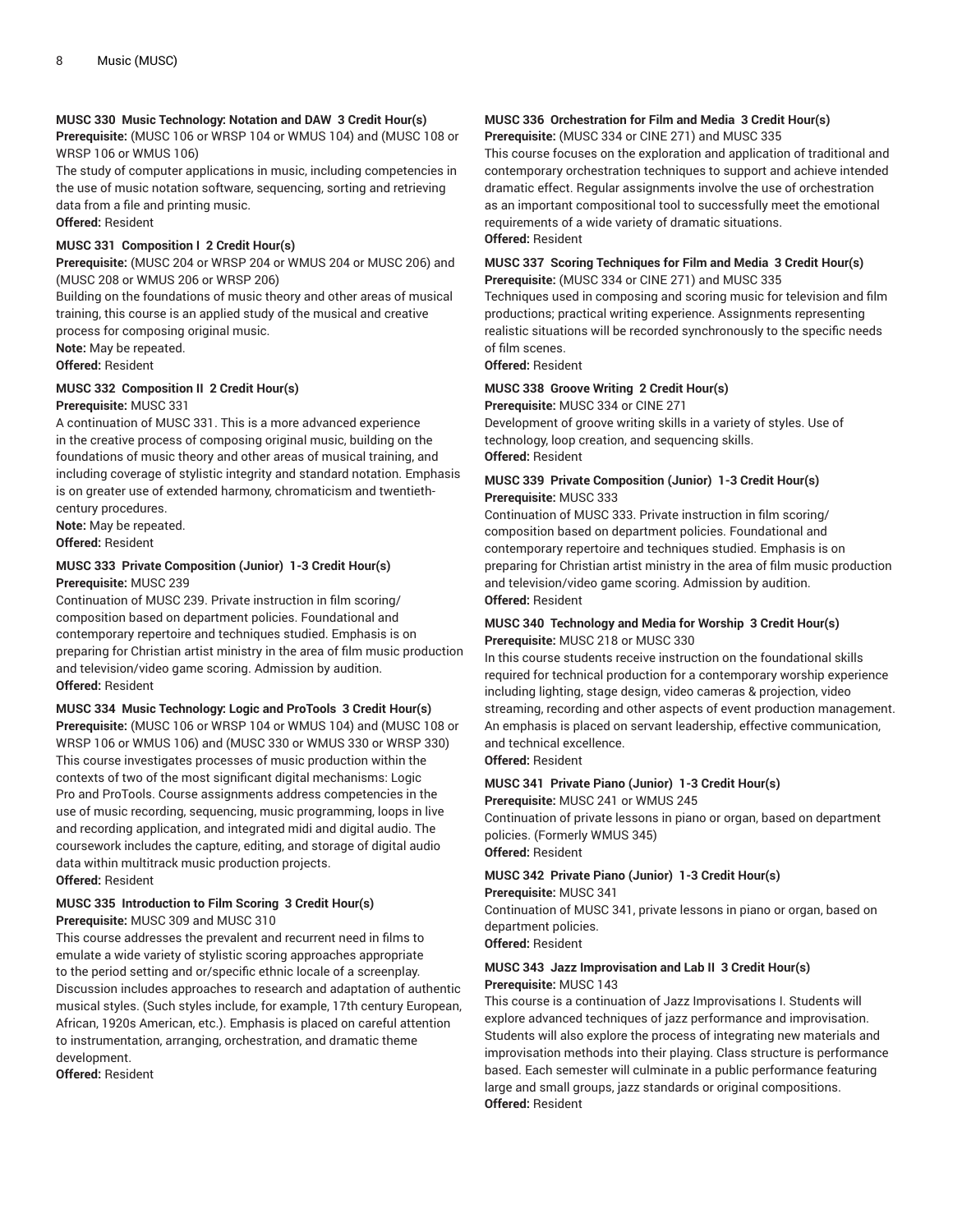#### **MUSC 330 Music Technology: Notation and DAW 3 Credit Hour(s)**

**Prerequisite:** (MUSC 106 or WRSP 104 or WMUS 104) and (MUSC 108 or WRSP 106 or WMUS 106)

The study of computer applications in music, including competencies in the use of music notation software, sequencing, sorting and retrieving data from a file and printing music. **Offered:** Resident

#### **MUSC 331 Composition I 2 Credit Hour(s)**

**Prerequisite:** (MUSC 204 or WRSP 204 or WMUS 204 or MUSC 206) and (MUSC 208 or WMUS 206 or WRSP 206)

Building on the foundations of music theory and other areas of musical training, this course is an applied study of the musical and creative process for composing original music.

**Note:** May be repeated.

**Offered:** Resident

#### **MUSC 332 Composition II 2 Credit Hour(s)**

#### **Prerequisite:** MUSC 331

A continuation of MUSC 331. This is a more advanced experience in the creative process of composing original music, building on the foundations of music theory and other areas of musical training, and including coverage of stylistic integrity and standard notation. Emphasis is on greater use of extended harmony, chromaticism and twentiethcentury procedures.

**Note:** May be repeated.

**Offered:** Resident

#### **MUSC 333 Private Composition (Junior) 1-3 Credit Hour(s) Prerequisite:** MUSC 239

Continuation of MUSC 239. Private instruction in film scoring/ composition based on department policies. Foundational and contemporary repertoire and techniques studied. Emphasis is on preparing for Christian artist ministry in the area of film music production and television/video game scoring. Admission by audition. **Offered:** Resident

#### **MUSC 334 Music Technology: Logic and ProTools 3 Credit Hour(s)**

**Prerequisite:** (MUSC 106 or WRSP 104 or WMUS 104) and (MUSC 108 or WRSP 106 or WMUS 106) and (MUSC 330 or WMUS 330 or WRSP 330) This course investigates processes of music production within the contexts of two of the most significant digital mechanisms: Logic Pro and ProTools. Course assignments address competencies in the use of music recording, sequencing, music programming, loops in live and recording application, and integrated midi and digital audio. The coursework includes the capture, editing, and storage of digital audio data within multitrack music production projects. **Offered:** Resident

#### **MUSC 335 Introduction to Film Scoring 3 Credit Hour(s) Prerequisite:** MUSC 309 and MUSC 310

This course addresses the prevalent and recurrent need in films to emulate a wide variety of stylistic scoring approaches appropriate to the period setting and or/specific ethnic locale of a screenplay. Discussion includes approaches to research and adaptation of authentic musical styles. (Such styles include, for example, 17th century European, African, 1920s American, etc.). Emphasis is placed on careful attention to instrumentation, arranging, orchestration, and dramatic theme development.

**Offered:** Resident

#### **MUSC 336 Orchestration for Film and Media 3 Credit Hour(s) Prerequisite:** (MUSC 334 or CINE 271) and MUSC 335

This course focuses on the exploration and application of traditional and contemporary orchestration techniques to support and achieve intended dramatic effect. Regular assignments involve the use of orchestration as an important compositional tool to successfully meet the emotional requirements of a wide variety of dramatic situations. **Offered:** Resident

#### **MUSC 337 Scoring Techniques for Film and Media 3 Credit Hour(s) Prerequisite:** (MUSC 334 or CINE 271) and MUSC 335

Techniques used in composing and scoring music for television and film productions; practical writing experience. Assignments representing realistic situations will be recorded synchronously to the specific needs of film scenes.

**Offered:** Resident

#### **MUSC 338 Groove Writing 2 Credit Hour(s)**

**Prerequisite:** MUSC 334 or CINE 271

Development of groove writing skills in a variety of styles. Use of technology, loop creation, and sequencing skills. **Offered:** Resident

#### **MUSC 339 Private Composition (Junior) 1-3 Credit Hour(s) Prerequisite:** MUSC 333

Continuation of MUSC 333. Private instruction in film scoring/ composition based on department policies. Foundational and contemporary repertoire and techniques studied. Emphasis is on preparing for Christian artist ministry in the area of film music production and television/video game scoring. Admission by audition. **Offered:** Resident

#### **MUSC 340 Technology and Media for Worship 3 Credit Hour(s) Prerequisite:** MUSC 218 or MUSC 330

In this course students receive instruction on the foundational skills required for technical production for a contemporary worship experience including lighting, stage design, video cameras & projection, video streaming, recording and other aspects of event production management. An emphasis is placed on servant leadership, effective communication, and technical excellence.

**Offered:** Resident

#### **MUSC 341 Private Piano (Junior) 1-3 Credit Hour(s) Prerequisite:** MUSC 241 or WMUS 245

Continuation of private lessons in piano or organ, based on department policies. (Formerly WMUS 345) **Offered:** Resident

### **MUSC 342 Private Piano (Junior) 1-3 Credit Hour(s)**

**Prerequisite:** MUSC 341

Continuation of MUSC 341, private lessons in piano or organ, based on department policies.

**Offered:** Resident

#### **MUSC 343 Jazz Improvisation and Lab II 3 Credit Hour(s) Prerequisite:** MUSC 143

This course is a continuation of Jazz Improvisations I. Students will explore advanced techniques of jazz performance and improvisation. Students will also explore the process of integrating new materials and improvisation methods into their playing. Class structure is performance based. Each semester will culminate in a public performance featuring large and small groups, jazz standards or original compositions. **Offered:** Resident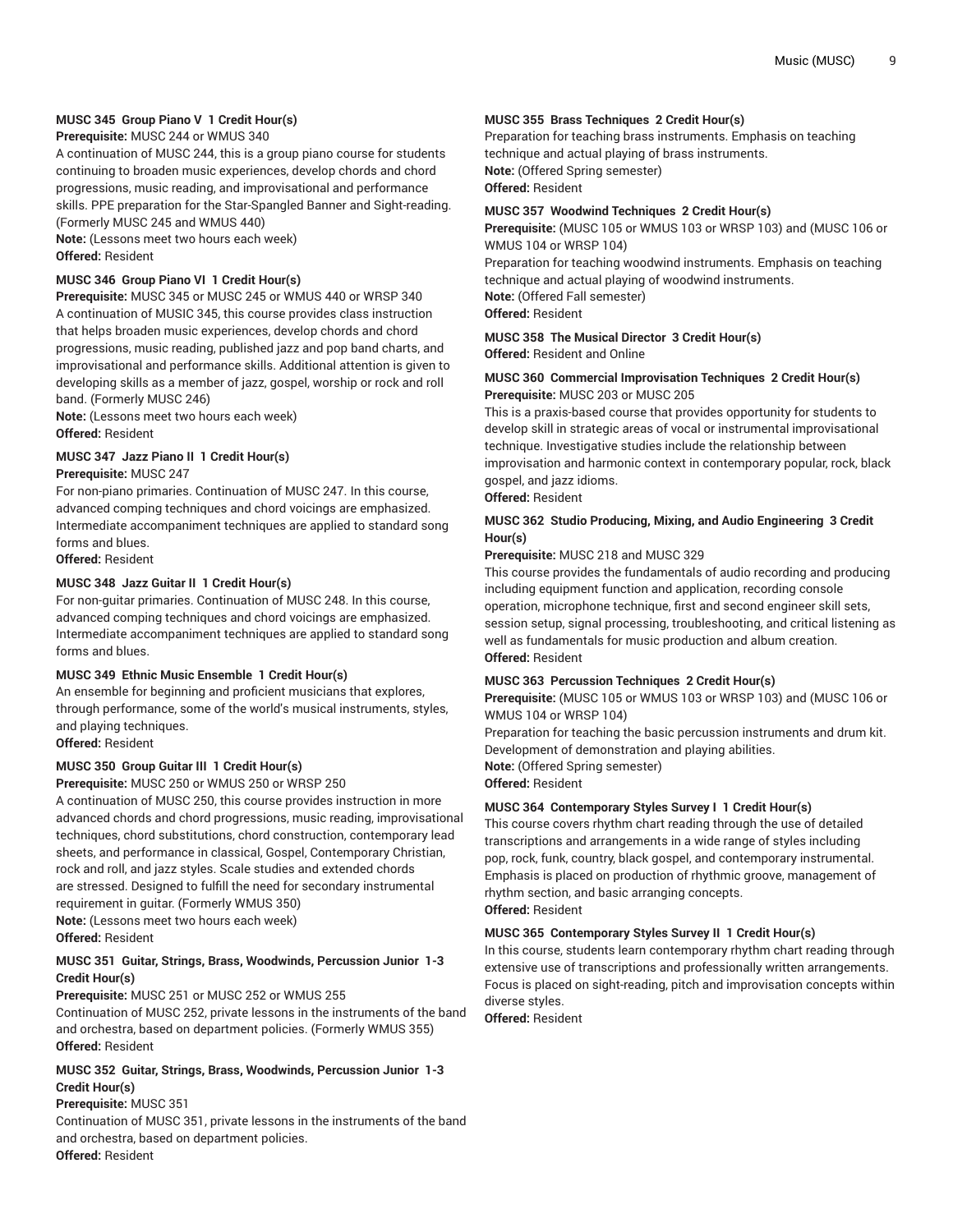#### **MUSC 345 Group Piano V 1 Credit Hour(s)**

#### **Prerequisite:** MUSC 244 or WMUS 340

A continuation of MUSC 244, this is a group piano course for students continuing to broaden music experiences, develop chords and chord progressions, music reading, and improvisational and performance skills. PPE preparation for the Star-Spangled Banner and Sight-reading. (Formerly MUSC 245 and WMUS 440)

**Note:** (Lessons meet two hours each week) **Offered:** Resident

#### **MUSC 346 Group Piano VI 1 Credit Hour(s)**

**Prerequisite:** MUSC 345 or MUSC 245 or WMUS 440 or WRSP 340 A continuation of MUSIC 345, this course provides class instruction that helps broaden music experiences, develop chords and chord progressions, music reading, published jazz and pop band charts, and improvisational and performance skills. Additional attention is given to developing skills as a member of jazz, gospel, worship or rock and roll band. (Formerly MUSC 246)

**Note:** (Lessons meet two hours each week) **Offered:** Resident

#### **MUSC 347 Jazz Piano II 1 Credit Hour(s) Prerequisite:** MUSC 247

For non-piano primaries. Continuation of MUSC 247. In this course, advanced comping techniques and chord voicings are emphasized. Intermediate accompaniment techniques are applied to standard song forms and blues.

**Offered:** Resident

#### **MUSC 348 Jazz Guitar II 1 Credit Hour(s)**

For non-guitar primaries. Continuation of MUSC 248. In this course, advanced comping techniques and chord voicings are emphasized. Intermediate accompaniment techniques are applied to standard song forms and blues.

#### **MUSC 349 Ethnic Music Ensemble 1 Credit Hour(s)**

An ensemble for beginning and proficient musicians that explores, through performance, some of the world's musical instruments, styles, and playing techniques.

**Offered:** Resident

#### **MUSC 350 Group Guitar III 1 Credit Hour(s)**

**Prerequisite:** MUSC 250 or WMUS 250 or WRSP 250

A continuation of MUSC 250, this course provides instruction in more advanced chords and chord progressions, music reading, improvisational techniques, chord substitutions, chord construction, contemporary lead sheets, and performance in classical, Gospel, Contemporary Christian, rock and roll, and jazz styles. Scale studies and extended chords are stressed. Designed to fulfill the need for secondary instrumental requirement in guitar. (Formerly WMUS 350) **Note:** (Lessons meet two hours each week)

**Offered:** Resident

#### **MUSC 351 Guitar, Strings, Brass, Woodwinds, Percussion Junior 1-3 Credit Hour(s)**

**Prerequisite:** MUSC 251 or MUSC 252 or WMUS 255

Continuation of MUSC 252, private lessons in the instruments of the band and orchestra, based on department policies. (Formerly WMUS 355) **Offered:** Resident

#### **MUSC 352 Guitar, Strings, Brass, Woodwinds, Percussion Junior 1-3 Credit Hour(s)**

#### **Prerequisite:** MUSC 351

Continuation of MUSC 351, private lessons in the instruments of the band and orchestra, based on department policies. **Offered:** Resident

#### **MUSC 355 Brass Techniques 2 Credit Hour(s)**

Preparation for teaching brass instruments. Emphasis on teaching technique and actual playing of brass instruments. **Note:** (Offered Spring semester)

**Offered:** Resident

#### **MUSC 357 Woodwind Techniques 2 Credit Hour(s)**

**Prerequisite:** (MUSC 105 or WMUS 103 or WRSP 103) and (MUSC 106 or WMUS 104 or WRSP 104)

Preparation for teaching woodwind instruments. Emphasis on teaching technique and actual playing of woodwind instruments. **Note:** (Offered Fall semester) **Offered:** Resident

#### **MUSC 358 The Musical Director 3 Credit Hour(s) Offered:** Resident and Online

#### **MUSC 360 Commercial Improvisation Techniques 2 Credit Hour(s) Prerequisite:** MUSC 203 or MUSC 205

This is a praxis-based course that provides opportunity for students to develop skill in strategic areas of vocal or instrumental improvisational technique. Investigative studies include the relationship between improvisation and harmonic context in contemporary popular, rock, black gospel, and jazz idioms.

#### **Offered:** Resident

#### **MUSC 362 Studio Producing, Mixing, and Audio Engineering 3 Credit Hour(s)**

#### **Prerequisite:** MUSC 218 and MUSC 329

This course provides the fundamentals of audio recording and producing including equipment function and application, recording console operation, microphone technique, first and second engineer skill sets, session setup, signal processing, troubleshooting, and critical listening as well as fundamentals for music production and album creation. **Offered:** Resident

#### **MUSC 363 Percussion Techniques 2 Credit Hour(s)**

**Prerequisite:** (MUSC 105 or WMUS 103 or WRSP 103) and (MUSC 106 or WMUS 104 or WRSP 104)

Preparation for teaching the basic percussion instruments and drum kit. Development of demonstration and playing abilities. **Note:** (Offered Spring semester) **Offered:** Resident

#### **MUSC 364 Contemporary Styles Survey I 1 Credit Hour(s)**

This course covers rhythm chart reading through the use of detailed transcriptions and arrangements in a wide range of styles including pop, rock, funk, country, black gospel, and contemporary instrumental. Emphasis is placed on production of rhythmic groove, management of rhythm section, and basic arranging concepts. **Offered:** Resident

#### **MUSC 365 Contemporary Styles Survey II 1 Credit Hour(s)**

In this course, students learn contemporary rhythm chart reading through extensive use of transcriptions and professionally written arrangements. Focus is placed on sight-reading, pitch and improvisation concepts within diverse styles.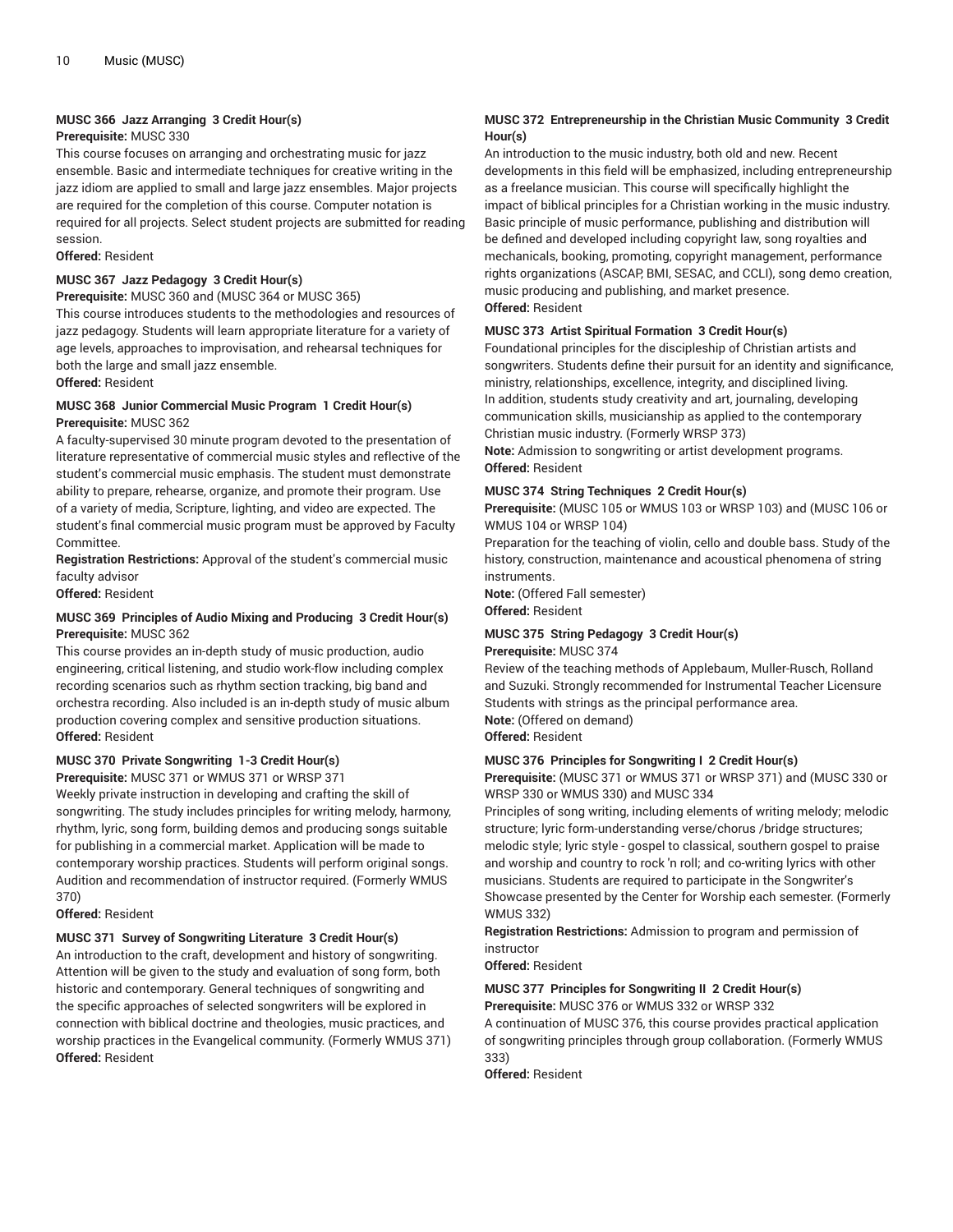#### **MUSC 366 Jazz Arranging 3 Credit Hour(s)**

#### **Prerequisite:** MUSC 330

This course focuses on arranging and orchestrating music for jazz ensemble. Basic and intermediate techniques for creative writing in the jazz idiom are applied to small and large jazz ensembles. Major projects are required for the completion of this course. Computer notation is required for all projects. Select student projects are submitted for reading session.

#### **Offered:** Resident

### **MUSC 367 Jazz Pedagogy 3 Credit Hour(s)**

**Prerequisite:** MUSC 360 and (MUSC 364 or MUSC 365) This course introduces students to the methodologies and resources of jazz pedagogy. Students will learn appropriate literature for a variety of age levels, approaches to improvisation, and rehearsal techniques for both the large and small jazz ensemble.

**Offered:** Resident

#### **MUSC 368 Junior Commercial Music Program 1 Credit Hour(s) Prerequisite:** MUSC 362

A faculty-supervised 30 minute program devoted to the presentation of literature representative of commercial music styles and reflective of the student's commercial music emphasis. The student must demonstrate ability to prepare, rehearse, organize, and promote their program. Use of a variety of media, Scripture, lighting, and video are expected. The student's final commercial music program must be approved by Faculty Committee.

**Registration Restrictions:** Approval of the student's commercial music faculty advisor

**Offered:** Resident

#### **MUSC 369 Principles of Audio Mixing and Producing 3 Credit Hour(s) Prerequisite:** MUSC 362

This course provides an in-depth study of music production, audio engineering, critical listening, and studio work-flow including complex recording scenarios such as rhythm section tracking, big band and orchestra recording. Also included is an in-depth study of music album production covering complex and sensitive production situations. **Offered:** Resident

#### **MUSC 370 Private Songwriting 1-3 Credit Hour(s)**

**Prerequisite:** MUSC 371 or WMUS 371 or WRSP 371

Weekly private instruction in developing and crafting the skill of songwriting. The study includes principles for writing melody, harmony, rhythm, lyric, song form, building demos and producing songs suitable for publishing in a commercial market. Application will be made to contemporary worship practices. Students will perform original songs. Audition and recommendation of instructor required. (Formerly WMUS 370)

#### **Offered:** Resident

#### **MUSC 371 Survey of Songwriting Literature 3 Credit Hour(s)**

An introduction to the craft, development and history of songwriting. Attention will be given to the study and evaluation of song form, both historic and contemporary. General techniques of songwriting and the specific approaches of selected songwriters will be explored in connection with biblical doctrine and theologies, music practices, and worship practices in the Evangelical community. (Formerly WMUS 371) **Offered:** Resident

#### **MUSC 372 Entrepreneurship in the Christian Music Community 3 Credit Hour(s)**

An introduction to the music industry, both old and new. Recent developments in this field will be emphasized, including entrepreneurship as a freelance musician. This course will specifically highlight the impact of biblical principles for a Christian working in the music industry. Basic principle of music performance, publishing and distribution will be defined and developed including copyright law, song royalties and mechanicals, booking, promoting, copyright management, performance rights organizations (ASCAP, BMI, SESAC, and CCLI), song demo creation, music producing and publishing, and market presence. **Offered:** Resident

#### **MUSC 373 Artist Spiritual Formation 3 Credit Hour(s)**

Foundational principles for the discipleship of Christian artists and songwriters. Students define their pursuit for an identity and significance, ministry, relationships, excellence, integrity, and disciplined living. In addition, students study creativity and art, journaling, developing communication skills, musicianship as applied to the contemporary Christian music industry. (Formerly WRSP 373)

**Note:** Admission to songwriting or artist development programs. **Offered:** Resident

#### **MUSC 374 String Techniques 2 Credit Hour(s)**

**Prerequisite:** (MUSC 105 or WMUS 103 or WRSP 103) and (MUSC 106 or WMUS 104 or WRSP 104)

Preparation for the teaching of violin, cello and double bass. Study of the history, construction, maintenance and acoustical phenomena of string instruments.

**Note:** (Offered Fall semester) **Offered:** Resident

#### **MUSC 375 String Pedagogy 3 Credit Hour(s) Prerequisite:** MUSC 374

Review of the teaching methods of Applebaum, Muller-Rusch, Rolland and Suzuki. Strongly recommended for Instrumental Teacher Licensure Students with strings as the principal performance area. **Note:** (Offered on demand) **Offered:** Resident

#### **MUSC 376 Principles for Songwriting I 2 Credit Hour(s)**

**Prerequisite:** (MUSC 371 or WMUS 371 or WRSP 371) and (MUSC 330 or WRSP 330 or WMUS 330) and MUSC 334

Principles of song writing, including elements of writing melody; melodic structure; lyric form-understanding verse/chorus /bridge structures; melodic style; lyric style - gospel to classical, southern gospel to praise and worship and country to rock 'n roll; and co-writing lyrics with other musicians. Students are required to participate in the Songwriter's Showcase presented by the Center for Worship each semester. (Formerly WMUS 332)

**Registration Restrictions:** Admission to program and permission of instructor

**Offered:** Resident

#### **MUSC 377 Principles for Songwriting II 2 Credit Hour(s) Prerequisite:** MUSC 376 or WMUS 332 or WRSP 332

A continuation of MUSC 376, this course provides practical application of songwriting principles through group collaboration. (Formerly WMUS 333)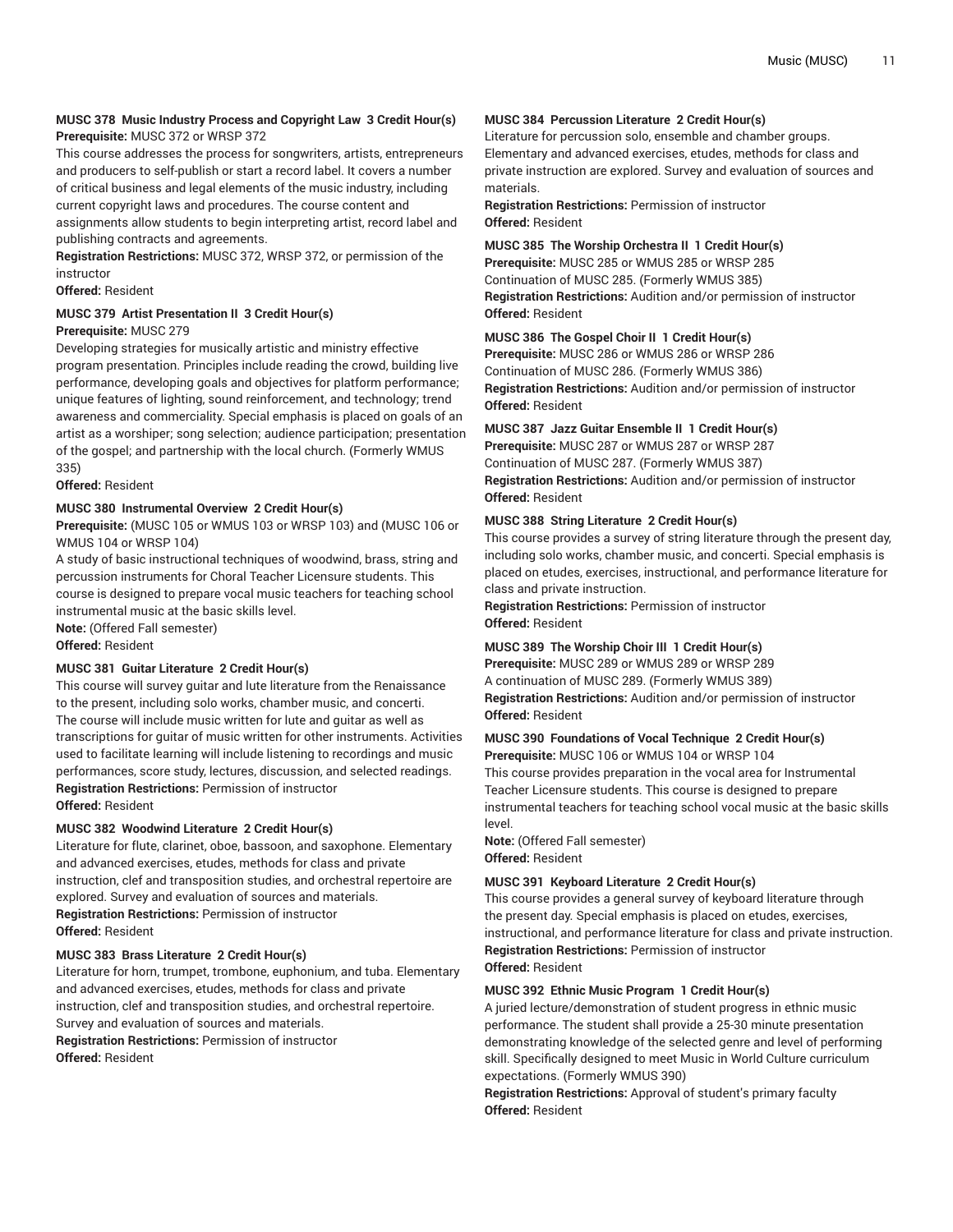#### **MUSC 378 Music Industry Process and Copyright Law 3 Credit Hour(s) Prerequisite:** MUSC 372 or WRSP 372

This course addresses the process for songwriters, artists, entrepreneurs and producers to self-publish or start a record label. It covers a number of critical business and legal elements of the music industry, including current copyright laws and procedures. The course content and assignments allow students to begin interpreting artist, record label and publishing contracts and agreements.

**Registration Restrictions:** MUSC 372, WRSP 372, or permission of the instructor

**Offered:** Resident

### **MUSC 379 Artist Presentation II 3 Credit Hour(s)**

#### **Prerequisite:** MUSC 279

Developing strategies for musically artistic and ministry effective program presentation. Principles include reading the crowd, building live performance, developing goals and objectives for platform performance; unique features of lighting, sound reinforcement, and technology; trend awareness and commerciality. Special emphasis is placed on goals of an artist as a worshiper; song selection; audience participation; presentation of the gospel; and partnership with the local church. (Formerly WMUS 335)

**Offered:** Resident

#### **MUSC 380 Instrumental Overview 2 Credit Hour(s)**

**Prerequisite:** (MUSC 105 or WMUS 103 or WRSP 103) and (MUSC 106 or WMUS 104 or WRSP 104)

A study of basic instructional techniques of woodwind, brass, string and percussion instruments for Choral Teacher Licensure students. This course is designed to prepare vocal music teachers for teaching school instrumental music at the basic skills level.

**Note:** (Offered Fall semester)

**Offered:** Resident

#### **MUSC 381 Guitar Literature 2 Credit Hour(s)**

This course will survey guitar and lute literature from the Renaissance to the present, including solo works, chamber music, and concerti. The course will include music written for lute and guitar as well as transcriptions for guitar of music written for other instruments. Activities used to facilitate learning will include listening to recordings and music performances, score study, lectures, discussion, and selected readings. **Registration Restrictions:** Permission of instructor **Offered:** Resident

#### **MUSC 382 Woodwind Literature 2 Credit Hour(s)**

Literature for flute, clarinet, oboe, bassoon, and saxophone. Elementary and advanced exercises, etudes, methods for class and private instruction, clef and transposition studies, and orchestral repertoire are explored. Survey and evaluation of sources and materials. **Registration Restrictions:** Permission of instructor **Offered:** Resident

#### **MUSC 383 Brass Literature 2 Credit Hour(s)**

Literature for horn, trumpet, trombone, euphonium, and tuba. Elementary and advanced exercises, etudes, methods for class and private instruction, clef and transposition studies, and orchestral repertoire. Survey and evaluation of sources and materials. **Registration Restrictions:** Permission of instructor **Offered:** Resident

#### **MUSC 384 Percussion Literature 2 Credit Hour(s)**

Literature for percussion solo, ensemble and chamber groups. Elementary and advanced exercises, etudes, methods for class and private instruction are explored. Survey and evaluation of sources and materials.

**Registration Restrictions:** Permission of instructor **Offered:** Resident

**MUSC 385 The Worship Orchestra II 1 Credit Hour(s)**

**Prerequisite:** MUSC 285 or WMUS 285 or WRSP 285 Continuation of MUSC 285. (Formerly WMUS 385) **Registration Restrictions:** Audition and/or permission of instructor **Offered:** Resident

#### **MUSC 386 The Gospel Choir II 1 Credit Hour(s)**

**Prerequisite:** MUSC 286 or WMUS 286 or WRSP 286 Continuation of MUSC 286. (Formerly WMUS 386) **Registration Restrictions:** Audition and/or permission of instructor **Offered:** Resident

#### **MUSC 387 Jazz Guitar Ensemble II 1 Credit Hour(s)**

**Prerequisite:** MUSC 287 or WMUS 287 or WRSP 287 Continuation of MUSC 287. (Formerly WMUS 387) **Registration Restrictions:** Audition and/or permission of instructor **Offered:** Resident

#### **MUSC 388 String Literature 2 Credit Hour(s)**

This course provides a survey of string literature through the present day, including solo works, chamber music, and concerti. Special emphasis is placed on etudes, exercises, instructional, and performance literature for class and private instruction.

**Registration Restrictions:** Permission of instructor **Offered:** Resident

#### **MUSC 389 The Worship Choir III 1 Credit Hour(s)**

**Prerequisite:** MUSC 289 or WMUS 289 or WRSP 289 A continuation of MUSC 289. (Formerly WMUS 389) **Registration Restrictions:** Audition and/or permission of instructor **Offered:** Resident

#### **MUSC 390 Foundations of Vocal Technique 2 Credit Hour(s)**

**Prerequisite:** MUSC 106 or WMUS 104 or WRSP 104 This course provides preparation in the vocal area for Instrumental Teacher Licensure students. This course is designed to prepare instrumental teachers for teaching school vocal music at the basic skills level.

**Note:** (Offered Fall semester) **Offered:** Resident

#### **MUSC 391 Keyboard Literature 2 Credit Hour(s)**

This course provides a general survey of keyboard literature through the present day. Special emphasis is placed on etudes, exercises, instructional, and performance literature for class and private instruction. **Registration Restrictions:** Permission of instructor **Offered:** Resident

#### **MUSC 392 Ethnic Music Program 1 Credit Hour(s)**

A juried lecture/demonstration of student progress in ethnic music performance. The student shall provide a 25-30 minute presentation demonstrating knowledge of the selected genre and level of performing skill. Specifically designed to meet Music in World Culture curriculum expectations. (Formerly WMUS 390)

**Registration Restrictions:** Approval of student's primary faculty **Offered:** Resident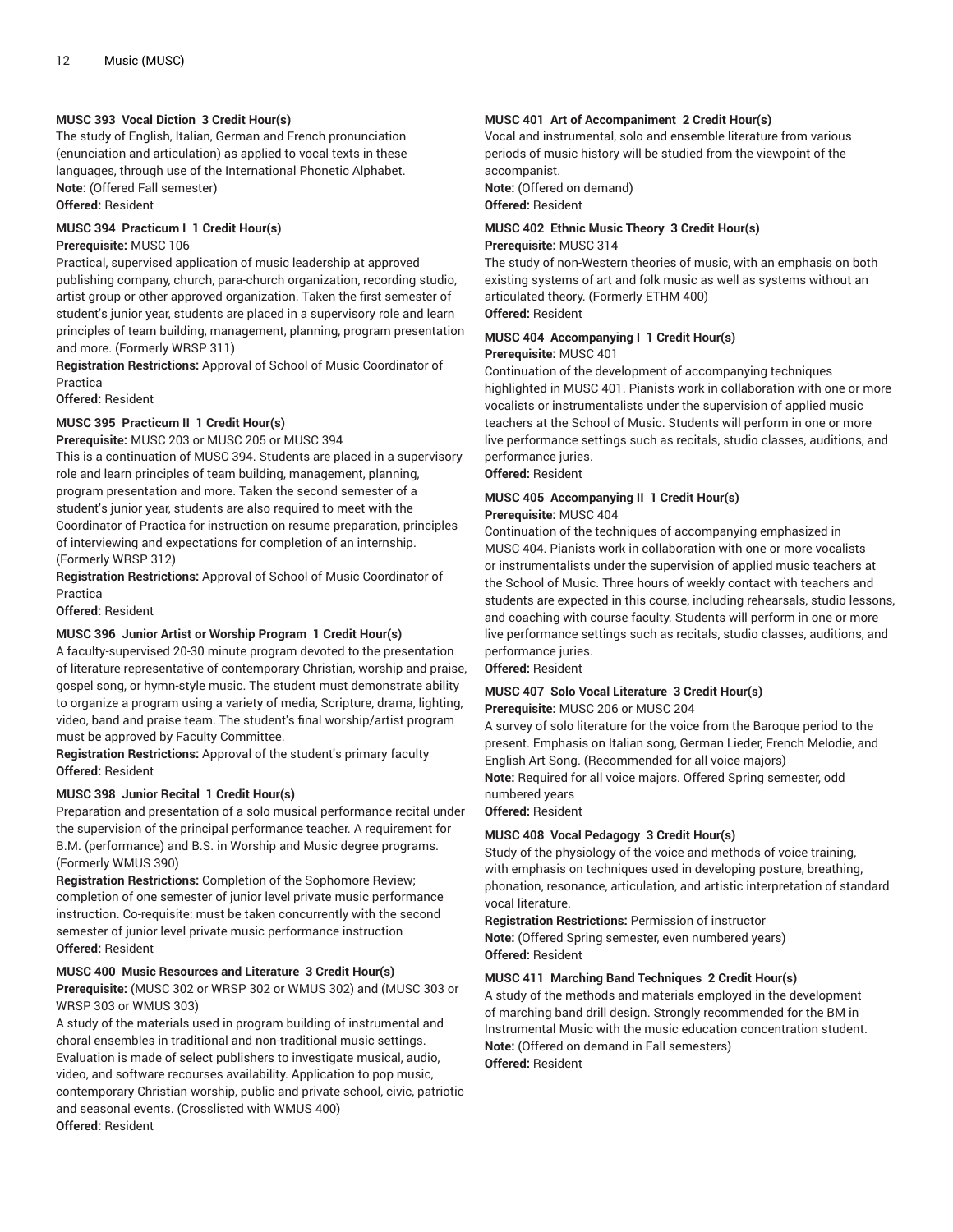#### **MUSC 393 Vocal Diction 3 Credit Hour(s)**

The study of English, Italian, German and French pronunciation (enunciation and articulation) as applied to vocal texts in these languages, through use of the International Phonetic Alphabet. **Note:** (Offered Fall semester) **Offered:** Resident

**MUSC 394 Practicum I 1 Credit Hour(s)**

#### **Prerequisite:** MUSC 106

Practical, supervised application of music leadership at approved publishing company, church, para-church organization, recording studio, artist group or other approved organization. Taken the first semester of student's junior year, students are placed in a supervisory role and learn principles of team building, management, planning, program presentation and more. (Formerly WRSP 311)

**Registration Restrictions:** Approval of School of Music Coordinator of Practica

**Offered:** Resident

#### **MUSC 395 Practicum II 1 Credit Hour(s)**

**Prerequisite:** MUSC 203 or MUSC 205 or MUSC 394

This is a continuation of MUSC 394. Students are placed in a supervisory role and learn principles of team building, management, planning, program presentation and more. Taken the second semester of a student's junior year, students are also required to meet with the Coordinator of Practica for instruction on resume preparation, principles of interviewing and expectations for completion of an internship. (Formerly WRSP 312)

**Registration Restrictions:** Approval of School of Music Coordinator of Practica

**Offered:** Resident

#### **MUSC 396 Junior Artist or Worship Program 1 Credit Hour(s)**

A faculty-supervised 20-30 minute program devoted to the presentation of literature representative of contemporary Christian, worship and praise, gospel song, or hymn-style music. The student must demonstrate ability to organize a program using a variety of media, Scripture, drama, lighting, video, band and praise team. The student's final worship/artist program must be approved by Faculty Committee.

**Registration Restrictions:** Approval of the student's primary faculty **Offered:** Resident

#### **MUSC 398 Junior Recital 1 Credit Hour(s)**

Preparation and presentation of a solo musical performance recital under the supervision of the principal performance teacher. A requirement for B.M. (performance) and B.S. in Worship and Music degree programs. (Formerly WMUS 390)

**Registration Restrictions:** Completion of the Sophomore Review; completion of one semester of junior level private music performance instruction. Co-requisite: must be taken concurrently with the second semester of junior level private music performance instruction **Offered:** Resident

#### **MUSC 400 Music Resources and Literature 3 Credit Hour(s)**

**Prerequisite:** (MUSC 302 or WRSP 302 or WMUS 302) and (MUSC 303 or WRSP 303 or WMUS 303)

A study of the materials used in program building of instrumental and choral ensembles in traditional and non-traditional music settings. Evaluation is made of select publishers to investigate musical, audio, video, and software recourses availability. Application to pop music, contemporary Christian worship, public and private school, civic, patriotic and seasonal events. (Crosslisted with WMUS 400) **Offered:** Resident

#### **MUSC 401 Art of Accompaniment 2 Credit Hour(s)**

Vocal and instrumental, solo and ensemble literature from various periods of music history will be studied from the viewpoint of the accompanist.

**Note:** (Offered on demand) **Offered:** Resident

#### **MUSC 402 Ethnic Music Theory 3 Credit Hour(s) Prerequisite:** MUSC 314

The study of non-Western theories of music, with an emphasis on both existing systems of art and folk music as well as systems without an articulated theory. (Formerly ETHM 400) **Offered:** Resident

#### **MUSC 404 Accompanying I 1 Credit Hour(s) Prerequisite:** MUSC 401

Continuation of the development of accompanying techniques highlighted in MUSC 401. Pianists work in collaboration with one or more vocalists or instrumentalists under the supervision of applied music teachers at the School of Music. Students will perform in one or more live performance settings such as recitals, studio classes, auditions, and performance juries.

**Offered:** Resident

### **MUSC 405 Accompanying II 1 Credit Hour(s)**

#### **Prerequisite:** MUSC 404

Continuation of the techniques of accompanying emphasized in MUSC 404. Pianists work in collaboration with one or more vocalists or instrumentalists under the supervision of applied music teachers at the School of Music. Three hours of weekly contact with teachers and students are expected in this course, including rehearsals, studio lessons, and coaching with course faculty. Students will perform in one or more live performance settings such as recitals, studio classes, auditions, and performance juries.

**Offered:** Resident

#### **MUSC 407 Solo Vocal Literature 3 Credit Hour(s)**

**Prerequisite:** MUSC 206 or MUSC 204

A survey of solo literature for the voice from the Baroque period to the present. Emphasis on Italian song, German Lieder, French Melodie, and English Art Song. (Recommended for all voice majors) **Note:** Required for all voice majors. Offered Spring semester, odd numbered years

**Offered:** Resident

#### **MUSC 408 Vocal Pedagogy 3 Credit Hour(s)**

Study of the physiology of the voice and methods of voice training, with emphasis on techniques used in developing posture, breathing, phonation, resonance, articulation, and artistic interpretation of standard vocal literature.

**Registration Restrictions:** Permission of instructor

**Note:** (Offered Spring semester, even numbered years) **Offered:** Resident

#### **MUSC 411 Marching Band Techniques 2 Credit Hour(s)**

A study of the methods and materials employed in the development of marching band drill design. Strongly recommended for the BM in Instrumental Music with the music education concentration student. **Note:** (Offered on demand in Fall semesters) **Offered:** Resident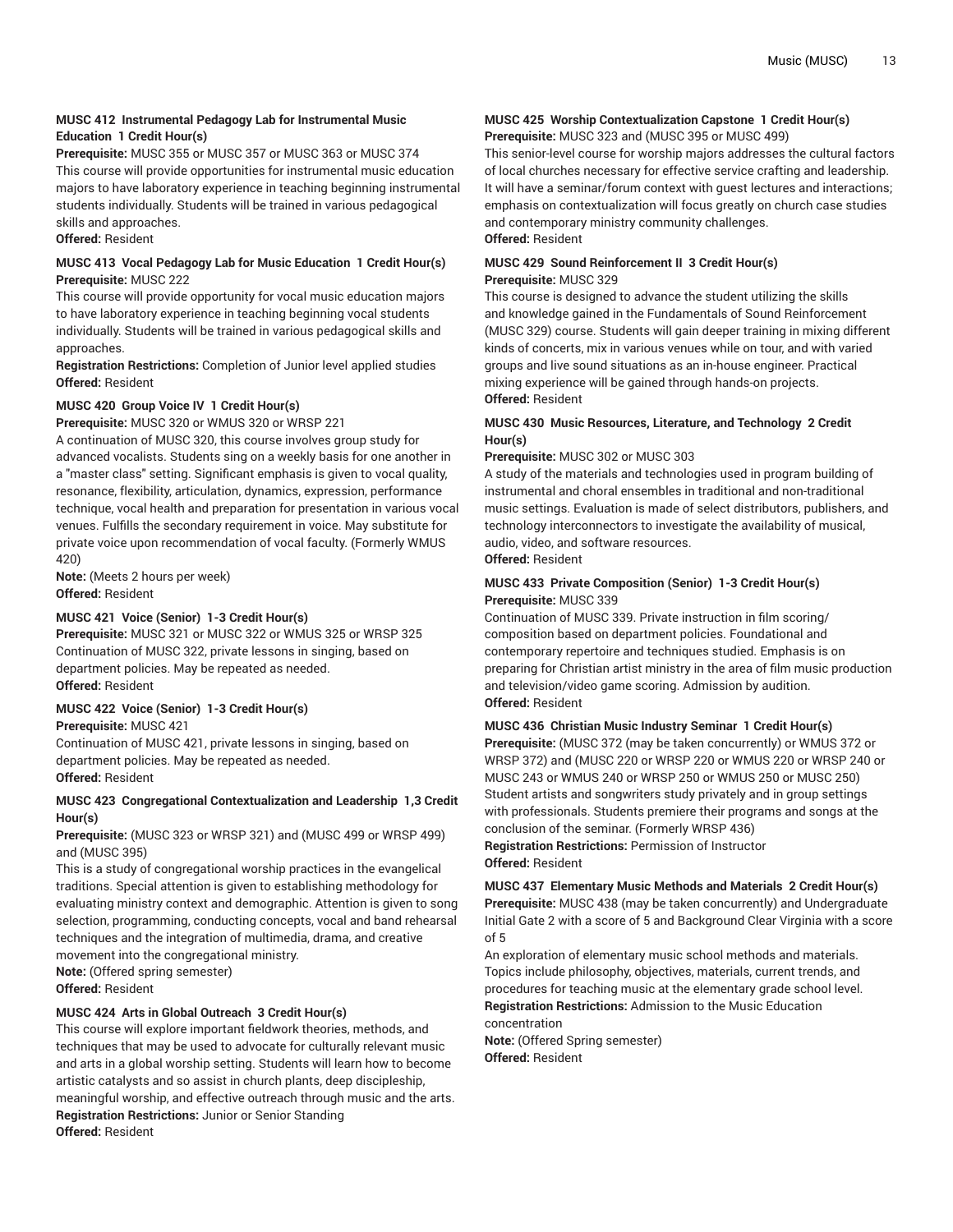#### **MUSC 412 Instrumental Pedagogy Lab for Instrumental Music Education 1 Credit Hour(s)**

**Prerequisite:** MUSC 355 or MUSC 357 or MUSC 363 or MUSC 374 This course will provide opportunities for instrumental music education majors to have laboratory experience in teaching beginning instrumental students individually. Students will be trained in various pedagogical skills and approaches.

**Offered:** Resident

#### **MUSC 413 Vocal Pedagogy Lab for Music Education 1 Credit Hour(s) Prerequisite:** MUSC 222

This course will provide opportunity for vocal music education majors to have laboratory experience in teaching beginning vocal students individually. Students will be trained in various pedagogical skills and approaches.

**Registration Restrictions:** Completion of Junior level applied studies **Offered:** Resident

#### **MUSC 420 Group Voice IV 1 Credit Hour(s)**

**Prerequisite:** MUSC 320 or WMUS 320 or WRSP 221

A continuation of MUSC 320, this course involves group study for advanced vocalists. Students sing on a weekly basis for one another in a "master class" setting. Significant emphasis is given to vocal quality, resonance, flexibility, articulation, dynamics, expression, performance technique, vocal health and preparation for presentation in various vocal venues. Fulfills the secondary requirement in voice. May substitute for private voice upon recommendation of vocal faculty. (Formerly WMUS 420)

**Note:** (Meets 2 hours per week) **Offered:** Resident

#### **MUSC 421 Voice (Senior) 1-3 Credit Hour(s)**

**Prerequisite:** MUSC 321 or MUSC 322 or WMUS 325 or WRSP 325 Continuation of MUSC 322, private lessons in singing, based on department policies. May be repeated as needed. **Offered:** Resident

#### **MUSC 422 Voice (Senior) 1-3 Credit Hour(s)**

**Prerequisite:** MUSC 421

Continuation of MUSC 421, private lessons in singing, based on department policies. May be repeated as needed. **Offered:** Resident

#### **MUSC 423 Congregational Contextualization and Leadership 1,3 Credit Hour(s)**

**Prerequisite:** (MUSC 323 or WRSP 321) and (MUSC 499 or WRSP 499) and (MUSC 395)

This is a study of congregational worship practices in the evangelical traditions. Special attention is given to establishing methodology for evaluating ministry context and demographic. Attention is given to song selection, programming, conducting concepts, vocal and band rehearsal techniques and the integration of multimedia, drama, and creative movement into the congregational ministry.

**Note:** (Offered spring semester)

**Offered:** Resident

#### **MUSC 424 Arts in Global Outreach 3 Credit Hour(s)**

This course will explore important fieldwork theories, methods, and techniques that may be used to advocate for culturally relevant music and arts in a global worship setting. Students will learn how to become artistic catalysts and so assist in church plants, deep discipleship, meaningful worship, and effective outreach through music and the arts. **Registration Restrictions:** Junior or Senior Standing **Offered:** Resident

#### **MUSC 425 Worship Contextualization Capstone 1 Credit Hour(s) Prerequisite:** MUSC 323 and (MUSC 395 or MUSC 499)

This senior-level course for worship majors addresses the cultural factors of local churches necessary for effective service crafting and leadership. It will have a seminar/forum context with guest lectures and interactions; emphasis on contextualization will focus greatly on church case studies and contemporary ministry community challenges. **Offered:** Resident

#### **MUSC 429 Sound Reinforcement II 3 Credit Hour(s) Prerequisite:** MUSC 329

This course is designed to advance the student utilizing the skills and knowledge gained in the Fundamentals of Sound Reinforcement (MUSC 329) course. Students will gain deeper training in mixing different kinds of concerts, mix in various venues while on tour, and with varied groups and live sound situations as an in-house engineer. Practical mixing experience will be gained through hands-on projects. **Offered:** Resident

#### **MUSC 430 Music Resources, Literature, and Technology 2 Credit Hour(s)**

#### **Prerequisite:** MUSC 302 or MUSC 303

A study of the materials and technologies used in program building of instrumental and choral ensembles in traditional and non-traditional music settings. Evaluation is made of select distributors, publishers, and technology interconnectors to investigate the availability of musical, audio, video, and software resources.

#### **Offered:** Resident

#### **MUSC 433 Private Composition (Senior) 1-3 Credit Hour(s) Prerequisite:** MUSC 339

Continuation of MUSC 339. Private instruction in film scoring/ composition based on department policies. Foundational and contemporary repertoire and techniques studied. Emphasis is on preparing for Christian artist ministry in the area of film music production and television/video game scoring. Admission by audition. **Offered:** Resident

#### **MUSC 436 Christian Music Industry Seminar 1 Credit Hour(s)**

**Prerequisite:** (MUSC 372 (may be taken concurrently) or WMUS 372 or WRSP 372) and (MUSC 220 or WRSP 220 or WMUS 220 or WRSP 240 or MUSC 243 or WMUS 240 or WRSP 250 or WMUS 250 or MUSC 250) Student artists and songwriters study privately and in group settings with professionals. Students premiere their programs and songs at the conclusion of the seminar. (Formerly WRSP 436)

**Registration Restrictions:** Permission of Instructor **Offered:** Resident

**MUSC 437 Elementary Music Methods and Materials 2 Credit Hour(s) Prerequisite:** MUSC 438 (may be taken concurrently) and Undergraduate Initial Gate 2 with a score of 5 and Background Clear Virginia with a score of 5

An exploration of elementary music school methods and materials. Topics include philosophy, objectives, materials, current trends, and procedures for teaching music at the elementary grade school level. **Registration Restrictions:** Admission to the Music Education

#### concentration

**Note:** (Offered Spring semester) **Offered:** Resident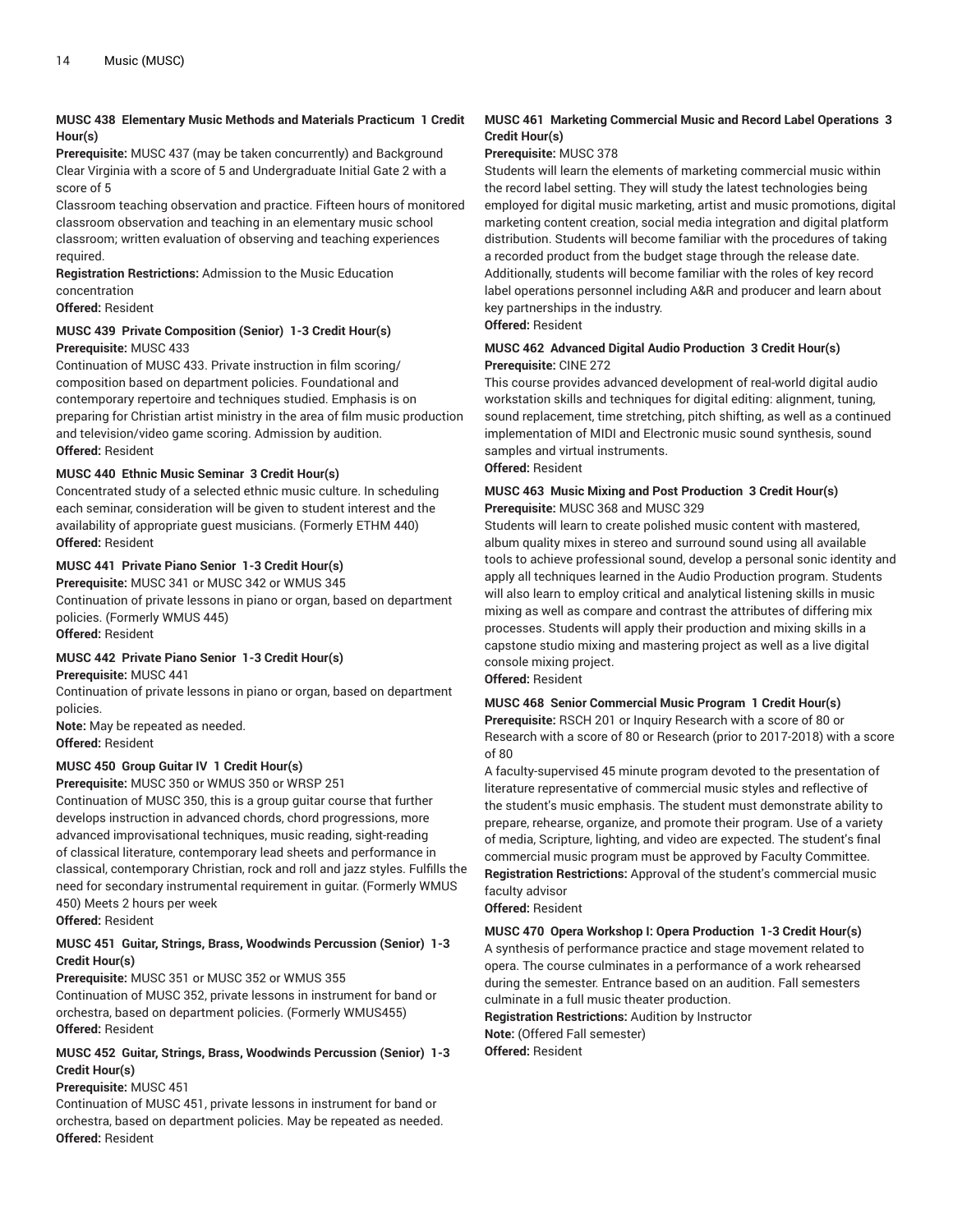#### **MUSC 438 Elementary Music Methods and Materials Practicum 1 Credit Hour(s)**

**Prerequisite:** MUSC 437 (may be taken concurrently) and Background Clear Virginia with a score of 5 and Undergraduate Initial Gate 2 with a score of 5

Classroom teaching observation and practice. Fifteen hours of monitored classroom observation and teaching in an elementary music school classroom; written evaluation of observing and teaching experiences required.

**Registration Restrictions:** Admission to the Music Education concentration

**Offered:** Resident

#### **MUSC 439 Private Composition (Senior) 1-3 Credit Hour(s) Prerequisite:** MUSC 433

Continuation of MUSC 433. Private instruction in film scoring/ composition based on department policies. Foundational and contemporary repertoire and techniques studied. Emphasis is on preparing for Christian artist ministry in the area of film music production and television/video game scoring. Admission by audition. **Offered:** Resident

#### **MUSC 440 Ethnic Music Seminar 3 Credit Hour(s)**

Concentrated study of a selected ethnic music culture. In scheduling each seminar, consideration will be given to student interest and the availability of appropriate guest musicians. (Formerly ETHM 440) **Offered:** Resident

#### **MUSC 441 Private Piano Senior 1-3 Credit Hour(s)**

**Prerequisite:** MUSC 341 or MUSC 342 or WMUS 345 Continuation of private lessons in piano or organ, based on department policies. (Formerly WMUS 445) **Offered:** Resident

#### **MUSC 442 Private Piano Senior 1-3 Credit Hour(s)**

**Prerequisite:** MUSC 441

Continuation of private lessons in piano or organ, based on department policies.

**Note:** May be repeated as needed. **Offered:** Resident

#### **MUSC 450 Group Guitar IV 1 Credit Hour(s)**

**Prerequisite:** MUSC 350 or WMUS 350 or WRSP 251 Continuation of MUSC 350, this is a group guitar course that further develops instruction in advanced chords, chord progressions, more advanced improvisational techniques, music reading, sight-reading of classical literature, contemporary lead sheets and performance in classical, contemporary Christian, rock and roll and jazz styles. Fulfills the need for secondary instrumental requirement in guitar. (Formerly WMUS 450) Meets 2 hours per week

**Offered:** Resident

#### **MUSC 451 Guitar, Strings, Brass, Woodwinds Percussion (Senior) 1-3 Credit Hour(s)**

**Prerequisite:** MUSC 351 or MUSC 352 or WMUS 355 Continuation of MUSC 352, private lessons in instrument for band or

orchestra, based on department policies. (Formerly WMUS455) **Offered:** Resident

#### **MUSC 452 Guitar, Strings, Brass, Woodwinds Percussion (Senior) 1-3 Credit Hour(s)**

#### **Prerequisite:** MUSC 451

Continuation of MUSC 451, private lessons in instrument for band or orchestra, based on department policies. May be repeated as needed. **Offered:** Resident

#### **MUSC 461 Marketing Commercial Music and Record Label Operations 3 Credit Hour(s)**

#### **Prerequisite:** MUSC 378

Students will learn the elements of marketing commercial music within the record label setting. They will study the latest technologies being employed for digital music marketing, artist and music promotions, digital marketing content creation, social media integration and digital platform distribution. Students will become familiar with the procedures of taking a recorded product from the budget stage through the release date. Additionally, students will become familiar with the roles of key record label operations personnel including A&R and producer and learn about key partnerships in the industry.

### **Offered:** Resident

#### **MUSC 462 Advanced Digital Audio Production 3 Credit Hour(s) Prerequisite:** CINE 272

This course provides advanced development of real-world digital audio workstation skills and techniques for digital editing: alignment, tuning, sound replacement, time stretching, pitch shifting, as well as a continued implementation of MIDI and Electronic music sound synthesis, sound samples and virtual instruments.

#### **Offered:** Resident

#### **MUSC 463 Music Mixing and Post Production 3 Credit Hour(s) Prerequisite:** MUSC 368 and MUSC 329

Students will learn to create polished music content with mastered, album quality mixes in stereo and surround sound using all available tools to achieve professional sound, develop a personal sonic identity and apply all techniques learned in the Audio Production program. Students will also learn to employ critical and analytical listening skills in music mixing as well as compare and contrast the attributes of differing mix processes. Students will apply their production and mixing skills in a capstone studio mixing and mastering project as well as a live digital console mixing project.

**Offered:** Resident

#### **MUSC 468 Senior Commercial Music Program 1 Credit Hour(s)**

**Prerequisite:** RSCH 201 or Inquiry Research with a score of 80 or Research with a score of 80 or Research (prior to 2017-2018) with a score of 80

A faculty-supervised 45 minute program devoted to the presentation of literature representative of commercial music styles and reflective of the student's music emphasis. The student must demonstrate ability to prepare, rehearse, organize, and promote their program. Use of a variety of media, Scripture, lighting, and video are expected. The student's final commercial music program must be approved by Faculty Committee. **Registration Restrictions:** Approval of the student's commercial music faculty advisor

#### **Offered:** Resident

**MUSC 470 Opera Workshop I: Opera Production 1-3 Credit Hour(s)** A synthesis of performance practice and stage movement related to opera. The course culminates in a performance of a work rehearsed during the semester. Entrance based on an audition. Fall semesters culminate in a full music theater production.

**Registration Restrictions:** Audition by Instructor **Note:** (Offered Fall semester)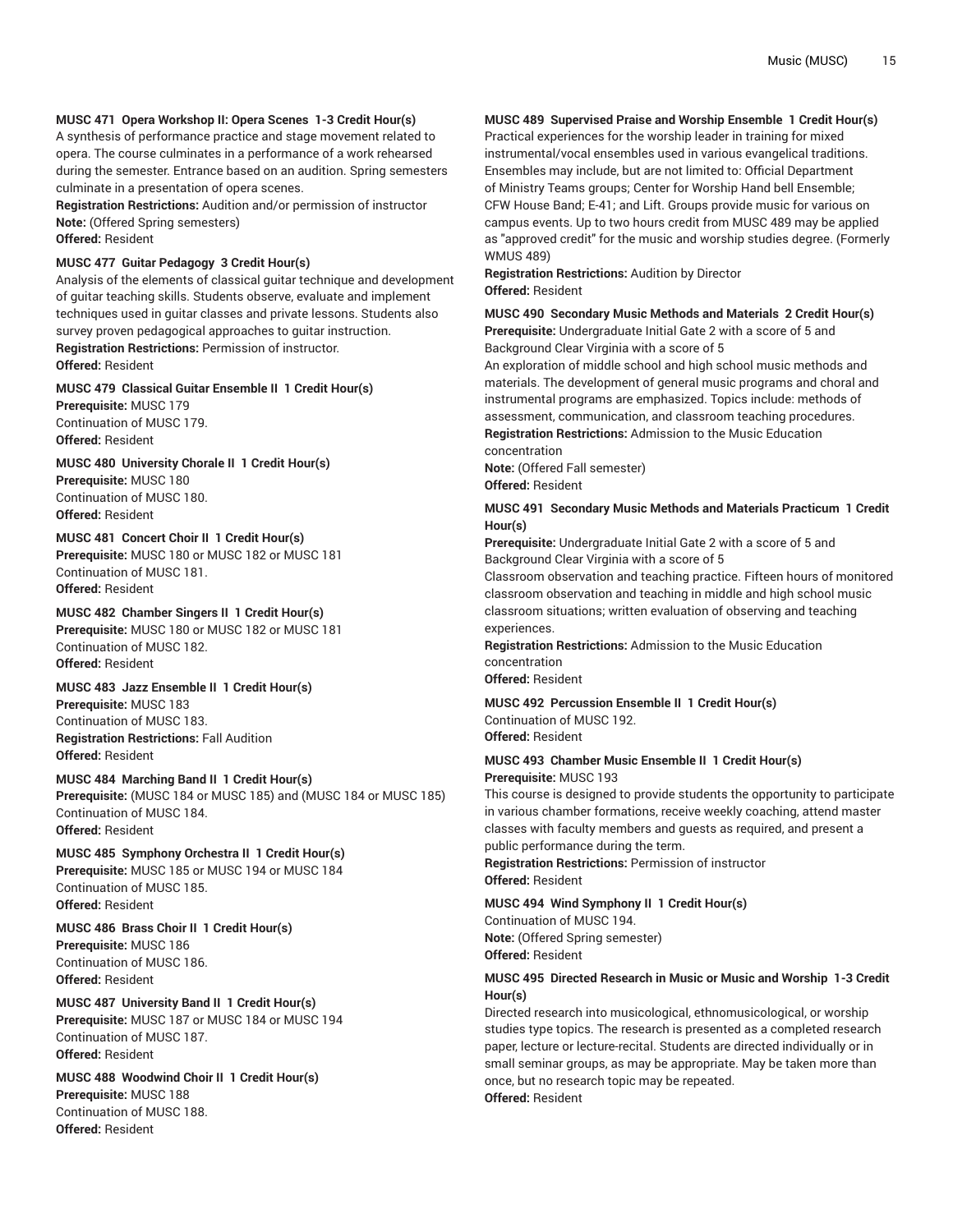#### **MUSC 471 Opera Workshop II: Opera Scenes 1-3 Credit Hour(s)**

A synthesis of performance practice and stage movement related to opera. The course culminates in a performance of a work rehearsed during the semester. Entrance based on an audition. Spring semesters culminate in a presentation of opera scenes.

**Registration Restrictions:** Audition and/or permission of instructor **Note:** (Offered Spring semesters)

**Offered:** Resident

#### **MUSC 477 Guitar Pedagogy 3 Credit Hour(s)**

Analysis of the elements of classical guitar technique and development of guitar teaching skills. Students observe, evaluate and implement techniques used in guitar classes and private lessons. Students also survey proven pedagogical approaches to guitar instruction. **Registration Restrictions:** Permission of instructor. **Offered:** Resident

#### **MUSC 479 Classical Guitar Ensemble II 1 Credit Hour(s)**

**Prerequisite:** MUSC 179 Continuation of MUSC 179. **Offered:** Resident

**MUSC 480 University Chorale II 1 Credit Hour(s) Prerequisite:** MUSC 180 Continuation of MUSC 180.

**Offered:** Resident

#### **MUSC 481 Concert Choir II 1 Credit Hour(s)**

**Prerequisite:** MUSC 180 or MUSC 182 or MUSC 181 Continuation of MUSC 181. **Offered:** Resident

#### **MUSC 482 Chamber Singers II 1 Credit Hour(s)**

**Prerequisite:** MUSC 180 or MUSC 182 or MUSC 181 Continuation of MUSC 182. **Offered:** Resident

#### **MUSC 483 Jazz Ensemble II 1 Credit Hour(s)**

**Prerequisite:** MUSC 183 Continuation of MUSC 183. **Registration Restrictions:** Fall Audition **Offered:** Resident

**MUSC 484 Marching Band II 1 Credit Hour(s) Prerequisite:** (MUSC 184 or MUSC 185) and (MUSC 184 or MUSC 185) Continuation of MUSC 184. **Offered:** Resident

**MUSC 485 Symphony Orchestra II 1 Credit Hour(s) Prerequisite:** MUSC 185 or MUSC 194 or MUSC 184 Continuation of MUSC 185. **Offered:** Resident

**MUSC 486 Brass Choir II 1 Credit Hour(s) Prerequisite:** MUSC 186 Continuation of MUSC 186. **Offered:** Resident

**MUSC 487 University Band II 1 Credit Hour(s) Prerequisite:** MUSC 187 or MUSC 184 or MUSC 194 Continuation of MUSC 187. **Offered:** Resident

**MUSC 488 Woodwind Choir II 1 Credit Hour(s) Prerequisite:** MUSC 188 Continuation of MUSC 188. **Offered:** Resident

#### **MUSC 489 Supervised Praise and Worship Ensemble 1 Credit Hour(s)**

Practical experiences for the worship leader in training for mixed instrumental/vocal ensembles used in various evangelical traditions. Ensembles may include, but are not limited to: Official Department of Ministry Teams groups; Center for Worship Hand bell Ensemble; CFW House Band; E-41; and Lift. Groups provide music for various on campus events. Up to two hours credit from MUSC 489 may be applied as "approved credit" for the music and worship studies degree. (Formerly WMUS 489)

**Registration Restrictions:** Audition by Director **Offered:** Resident

#### **MUSC 490 Secondary Music Methods and Materials 2 Credit Hour(s) Prerequisite:** Undergraduate Initial Gate 2 with a score of 5 and Background Clear Virginia with a score of 5

An exploration of middle school and high school music methods and materials. The development of general music programs and choral and instrumental programs are emphasized. Topics include: methods of assessment, communication, and classroom teaching procedures. **Registration Restrictions:** Admission to the Music Education

concentration

**Note:** (Offered Fall semester) **Offered:** Resident

#### **MUSC 491 Secondary Music Methods and Materials Practicum 1 Credit Hour(s)**

**Prerequisite:** Undergraduate Initial Gate 2 with a score of 5 and Background Clear Virginia with a score of 5

Classroom observation and teaching practice. Fifteen hours of monitored classroom observation and teaching in middle and high school music classroom situations; written evaluation of observing and teaching experiences.

**Registration Restrictions:** Admission to the Music Education concentration

**Offered:** Resident

#### **MUSC 492 Percussion Ensemble II 1 Credit Hour(s)** Continuation of MUSC 192. **Offered:** Resident

**MUSC 493 Chamber Music Ensemble II 1 Credit Hour(s)**

#### **Prerequisite:** MUSC 193

This course is designed to provide students the opportunity to participate in various chamber formations, receive weekly coaching, attend master classes with faculty members and guests as required, and present a public performance during the term.

**Registration Restrictions:** Permission of instructor **Offered:** Resident

#### **MUSC 494 Wind Symphony II 1 Credit Hour(s)**

Continuation of MUSC 194. **Note:** (Offered Spring semester) **Offered:** Resident

#### **MUSC 495 Directed Research in Music or Music and Worship 1-3 Credit Hour(s)**

Directed research into musicological, ethnomusicological, or worship studies type topics. The research is presented as a completed research paper, lecture or lecture-recital. Students are directed individually or in small seminar groups, as may be appropriate. May be taken more than once, but no research topic may be repeated. **Offered:** Resident